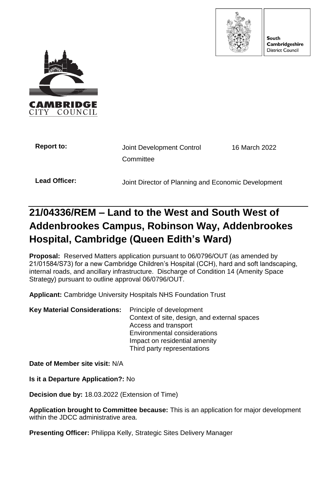

South Cambridgeshire **District Council** 



| <b>Report to:</b> | Joint Development Control                           | 16 March 2022 |
|-------------------|-----------------------------------------------------|---------------|
|                   | Committee                                           |               |
| Lead Officer:     | Joint Director of Planning and Economic Development |               |

# **21/04336/REM – Land to the West and South West of Addenbrookes Campus, Robinson Way, Addenbrookes Hospital, Cambridge (Queen Edith's Ward)**

**Proposal:** Reserved Matters application pursuant to 06/0796/OUT (as amended by 21/01584/S73) for a new Cambridge Children's Hospital (CCH), hard and soft landscaping, internal roads, and ancillary infrastructure. Discharge of Condition 14 (Amenity Space Strategy) pursuant to outline approval 06/0796/OUT.

**Applicant:** Cambridge University Hospitals NHS Foundation Trust

**Key Material Considerations:** Principle of development Context of site, design, and external spaces Access and transport Environmental considerations Impact on residential amenity Third party representations

**Date of Member site visit:** N/A

**Is it a Departure Application?:** No

**Decision due by:** 18.03.2022 (Extension of Time)

**Application brought to Committee because:** This is an application for major development within the JDCC administrative area.

**Presenting Officer:** Philippa Kelly, Strategic Sites Delivery Manager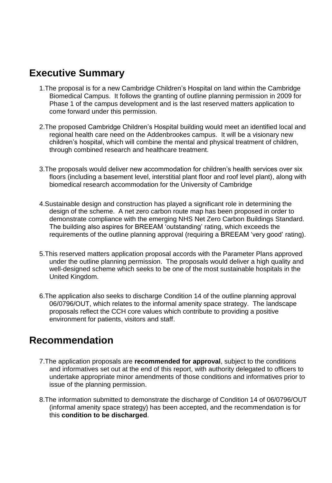# **Executive Summary**

- 1.The proposal is for a new Cambridge Children's Hospital on land within the Cambridge Biomedical Campus. It follows the granting of outline planning permission in 2009 for Phase 1 of the campus development and is the last reserved matters application to come forward under this permission.
- 2.The proposed Cambridge Children's Hospital building would meet an identified local and regional health care need on the Addenbrookes campus. It will be a visionary new children's hospital, which will combine the mental and physical treatment of children, through combined research and healthcare treatment.
- 3.The proposals would deliver new accommodation for children's health services over six floors (including a basement level, interstitial plant floor and roof level plant), along with biomedical research accommodation for the University of Cambridge
- 4.Sustainable design and construction has played a significant role in determining the design of the scheme. A net zero carbon route map has been proposed in order to demonstrate compliance with the emerging NHS Net Zero Carbon Buildings Standard. The building also aspires for BREEAM 'outstanding' rating, which exceeds the requirements of the outline planning approval (requiring a BREEAM 'very good' rating).
- 5.This reserved matters application proposal accords with the Parameter Plans approved under the outline planning permission. The proposals would deliver a high quality and well-designed scheme which seeks to be one of the most sustainable hospitals in the United Kingdom.
- 6.The application also seeks to discharge Condition 14 of the outline planning approval 06/0796/OUT, which relates to the informal amenity space strategy. The landscape proposals reflect the CCH core values which contribute to providing a positive environment for patients, visitors and staff.

# **Recommendation**

- 7.The application proposals are **recommended for approval**, subject to the conditions and informatives set out at the end of this report, with authority delegated to officers to undertake appropriate minor amendments of those conditions and informatives prior to issue of the planning permission.
- 8.The information submitted to demonstrate the discharge of Condition 14 of 06/0796/OUT (informal amenity space strategy) has been accepted, and the recommendation is for this **condition to be discharged**.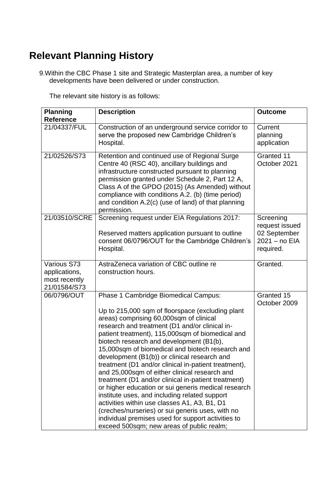# **Relevant Planning History**

9.Within the CBC Phase 1 site and Strategic Masterplan area, a number of key developments have been delivered or under construction.

The relevant site history is as follows:

| <b>Planning</b><br><b>Reference</b>                           | <b>Description</b>                                                                                                                                                                                                                                                                                                                                                                                                                                                                                                                                                                                                                                                                                                                                                                                                                                                       | <b>Outcome</b>                                                            |
|---------------------------------------------------------------|--------------------------------------------------------------------------------------------------------------------------------------------------------------------------------------------------------------------------------------------------------------------------------------------------------------------------------------------------------------------------------------------------------------------------------------------------------------------------------------------------------------------------------------------------------------------------------------------------------------------------------------------------------------------------------------------------------------------------------------------------------------------------------------------------------------------------------------------------------------------------|---------------------------------------------------------------------------|
| 21/04337/FUL                                                  | Construction of an underground service corridor to<br>serve the proposed new Cambridge Children's<br>Hospital.                                                                                                                                                                                                                                                                                                                                                                                                                                                                                                                                                                                                                                                                                                                                                           | Current<br>planning<br>application                                        |
| 21/02526/S73                                                  | Retention and continued use of Regional Surge<br>Centre 40 (RSC 40), ancillary buildings and<br>infrastructure constructed pursuant to planning<br>permission granted under Schedule 2, Part 12 A,<br>Class A of the GPDO (2015) (As Amended) without<br>compliance with conditions A.2. (b) (time period)<br>and condition A.2(c) (use of land) of that planning<br>permission.                                                                                                                                                                                                                                                                                                                                                                                                                                                                                         | Granted 11<br>October 2021                                                |
| 21/03510/SCRE                                                 | Screening request under EIA Regulations 2017:<br>Reserved matters application pursuant to outline<br>consent 06/0796/OUT for the Cambridge Children's<br>Hospital.                                                                                                                                                                                                                                                                                                                                                                                                                                                                                                                                                                                                                                                                                                       | Screening<br>request issued<br>02 September<br>2021 - no EIA<br>required. |
| Various S73<br>applications,<br>most recently<br>21/01584/S73 | AstraZeneca variation of CBC outline re<br>construction hours.                                                                                                                                                                                                                                                                                                                                                                                                                                                                                                                                                                                                                                                                                                                                                                                                           | Granted.                                                                  |
| 06/0796/OUT                                                   | Phase 1 Cambridge Biomedical Campus:<br>Up to 215,000 sqm of floorspace (excluding plant<br>areas) comprising 60,000sqm of clinical<br>research and treatment (D1 and/or clinical in-<br>patient treatment), 115,000sqm of biomedical and<br>biotech research and development (B1(b),<br>15,000sqm of biomedical and biotech research and<br>development (B1(b)) or clinical research and<br>treatment (D1 and/or clinical in-patient treatment),<br>and 25,000sqm of either clinical research and<br>treatment (D1 and/or clinical in-patient treatment)<br>or higher education or sui generis medical research<br>institute uses, and including related support<br>activities within use classes A1, A3, B1, D1<br>(creches/nurseries) or sui generis uses, with no<br>individual premises used for support activities to<br>exceed 500sqm; new areas of public realm; | Granted 15<br>October 2009                                                |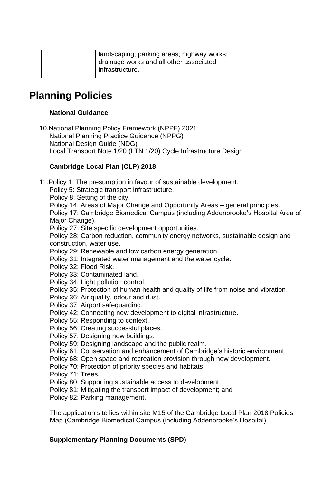| landscaping; parking areas; highway works;<br>drainage works and all other associated<br>infrastructure. |  |
|----------------------------------------------------------------------------------------------------------|--|
|                                                                                                          |  |

# **Planning Policies**

# **National Guidance**

10.National Planning Policy Framework (NPPF) 2021 National Planning Practice Guidance (NPPG) National Design Guide (NDG) Local Transport Note 1/20 (LTN 1/20) Cycle Infrastructure Design

# **Cambridge Local Plan (CLP) 2018**

11.Policy 1: The presumption in favour of sustainable development.

Policy 5: Strategic transport infrastructure.

Policy 8: Setting of the city.

Policy 14: Areas of Major Change and Opportunity Areas – general principles.

Policy 17: Cambridge Biomedical Campus (including Addenbrooke's Hospital Area of Major Change).

Policy 27: Site specific development opportunities.

Policy 28: Carbon reduction, community energy networks, sustainable design and construction, water use.

Policy 29: Renewable and low carbon energy generation.

Policy 31: Integrated water management and the water cycle.

Policy 32: Flood Risk.

Policy 33: Contaminated land.

- Policy 34: Light pollution control.
- Policy 35: Protection of human health and quality of life from noise and vibration.

Policy 36: Air quality, odour and dust.

- Policy 37: Airport safeguarding.
- Policy 42: Connecting new development to digital infrastructure.
- Policy 55: Responding to context.

Policy 56: Creating successful places.

- Policy 57: Designing new buildings.
- Policy 59: Designing landscape and the public realm.
- Policy 61: Conservation and enhancement of Cambridge's historic environment.

Policy 68: Open space and recreation provision through new development.

- Policy 70: Protection of priority species and habitats.
- Policy 71: Trees.
- Policy 80: Supporting sustainable access to development.
- Policy 81: Mitigating the transport impact of development; and
- Policy 82: Parking management.

The application site lies within site M15 of the Cambridge Local Plan 2018 Policies Map (Cambridge Biomedical Campus (including Addenbrooke's Hospital).

# **Supplementary Planning Documents (SPD)**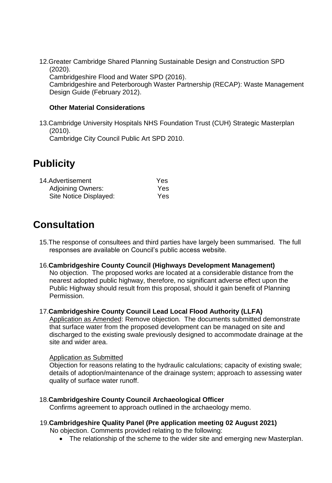12.Greater Cambridge Shared Planning Sustainable Design and Construction SPD (2020).

Cambridgeshire Flood and Water SPD (2016).

Cambridgeshire and Peterborough Waster Partnership (RECAP): Waste Management Design Guide (February 2012).

# **Other Material Considerations**

13.Cambridge University Hospitals NHS Foundation Trust (CUH) Strategic Masterplan (2010).

Cambridge City Council Public Art SPD 2010.

# **Publicity**

| 14.Advertisement         | Yes |
|--------------------------|-----|
| <b>Adjoining Owners:</b> | Yes |
| Site Notice Displayed:   | Yes |

# **Consultation**

15.The response of consultees and third parties have largely been summarised. The full responses are available on Council's public access website.

# 16.**Cambridgeshire County Council (Highways Development Management)**

No objection. The proposed works are located at a considerable distance from the nearest adopted public highway, therefore, no significant adverse effect upon the Public Highway should result from this proposal, should it gain benefit of Planning Permission.

# 17.**Cambridgeshire County Council Lead Local Flood Authority (LLFA)**

Application as Amended: Remove objection. The documents submitted demonstrate that surface water from the proposed development can be managed on site and discharged to the existing swale previously designed to accommodate drainage at the site and wider area.

#### Application as Submitted

Objection for reasons relating to the hydraulic calculations; capacity of existing swale; details of adoption/maintenance of the drainage system; approach to assessing water quality of surface water runoff.

# 18.**Cambridgeshire County Council Archaeological Officer**

Confirms agreement to approach outlined in the archaeology memo.

# 19.**Cambridgeshire Quality Panel (Pre application meeting 02 August 2021)**

No objection. Comments provided relating to the following:

• The relationship of the scheme to the wider site and emerging new Masterplan.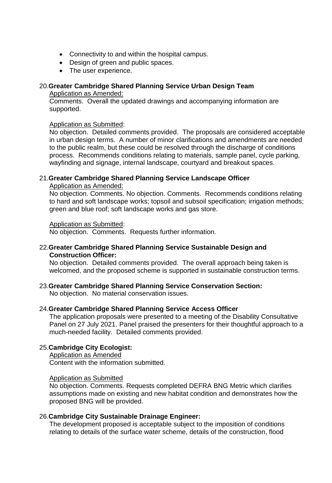- Connectivity to and within the hospital campus.
- Design of green and public spaces.
- The user experience.

# 20.**Greater Cambridge Shared Planning Service Urban Design Team** Application as Amended:

Comments. Overall the updated drawings and accompanying information are supported.

#### Application as Submitted:

No objection. Detailed comments provided. The proposals are considered acceptable in urban design terms. A number of minor clarifications and amendments are needed to the public realm, but these could be resolved through the discharge of conditions process. Recommends conditions relating to materials, sample panel, cycle parking, wayfinding and signage, internal landscape, courtyard and breakout spaces.

# 21.**Greater Cambridge Shared Planning Service Landscape Officer**

#### Application as Amended:

No objection. Comments. No objection. Comments. Recommends conditions relating to hard and soft landscape works; topsoil and subsoil specification; irrigation methods; green and blue roof; soft landscape works and gas store.

#### Application as Submitted:

No objection. Comments. Requests further information.

#### 22.**Greater Cambridge Shared Planning Service Sustainable Design and Construction Officer:**

No objection. Detailed comments provided. The overall approach being taken is welcomed, and the proposed scheme is supported in sustainable construction terms.

# 23.**Greater Cambridge Shared Planning Service Conservation Section:**

No objection. No material conservation issues.

#### 24.**Greater Cambridge Shared Planning Service Access Officer**

The application proposals were presented to a meeting of the Disability Consultative Panel on 27 July 2021. Panel praised the presenters for their thoughtful approach to a much-needed facility. Detailed comments provided.

# 25.**Cambridge City Ecologist:**

Application as Amended Content with the information submitted.

#### Application as Submitted

No objection. Comments. Requests completed DEFRA BNG Metric which clarifies assumptions made on existing and new habitat condition and demonstrates how the proposed BNG will be provided.

#### 26.**Cambridge City Sustainable Drainage Engineer:**

The development proposed is acceptable subject to the imposition of conditions relating to details of the surface water scheme, details of the construction, flood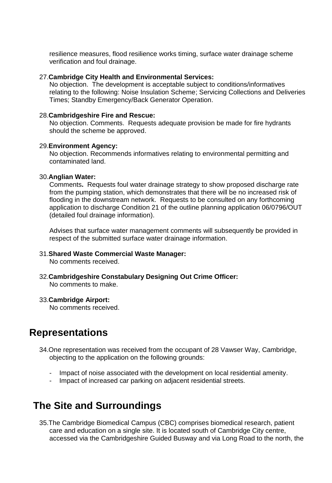resilience measures, flood resilience works timing, surface water drainage scheme verification and foul drainage.

#### 27.**Cambridge City Health and Environmental Services:**

No objection. The development is acceptable subject to conditions/informatives relating to the following: Noise Insulation Scheme; Servicing Collections and Deliveries Times; Standby Emergency/Back Generator Operation.

#### 28.**Cambridgeshire Fire and Rescue:**

No objection. Comments. Requests adequate provision be made for fire hydrants should the scheme be approved.

#### 29.**Environment Agency:**

No objection. Recommends informatives relating to environmental permitting and contaminated land.

#### 30.**Anglian Water:**

Comments**.** Requests foul water drainage strategy to show proposed discharge rate from the pumping station, which demonstrates that there will be no increased risk of flooding in the downstream network. Requests to be consulted on any forthcoming application to discharge Condition 21 of the outline planning application 06/0796/OUT (detailed foul drainage information).

Advises that surface water management comments will subsequently be provided in respect of the submitted surface water drainage information.

# 31.**Shared Waste Commercial Waste Manager:**

No comments received.

32.**Cambridgeshire Constabulary Designing Out Crime Officer:** No comments to make.

#### 33.**Cambridge Airport:**

No comments received.

# **Representations**

- 34.One representation was received from the occupant of 28 Vawser Way, Cambridge, objecting to the application on the following grounds:
	- Impact of noise associated with the development on local residential amenity.
	- Impact of increased car parking on adjacent residential streets.

# **The Site and Surroundings**

35.The Cambridge Biomedical Campus (CBC) comprises biomedical research, patient care and education on a single site. It is located south of Cambridge City centre, accessed via the Cambridgeshire Guided Busway and via Long Road to the north, the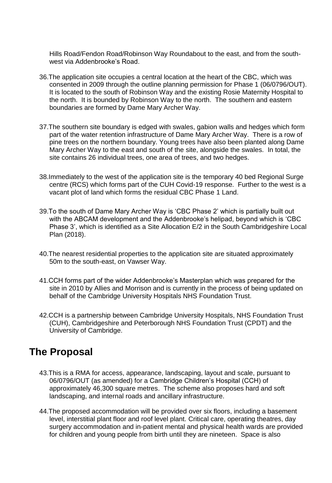Hills Road/Fendon Road/Robinson Way Roundabout to the east, and from the southwest via Addenbrooke's Road.

- 36.The application site occupies a central location at the heart of the CBC, which was consented in 2009 through the outline planning permission for Phase 1 (06/0796/OUT). It is located to the south of Robinson Way and the existing Rosie Maternity Hospital to the north. It is bounded by Robinson Way to the north. The southern and eastern boundaries are formed by Dame Mary Archer Way.
- 37.The southern site boundary is edged with swales, gabion walls and hedges which form part of the water retention infrastructure of Dame Mary Archer Way. There is a row of pine trees on the northern boundary. Young trees have also been planted along Dame Mary Archer Way to the east and south of the site, alongside the swales. In total, the site contains 26 individual trees, one area of trees, and two hedges.
- 38.Immediately to the west of the application site is the temporary 40 bed Regional Surge centre (RCS) which forms part of the CUH Covid-19 response. Further to the west is a vacant plot of land which forms the residual CBC Phase 1 Land.
- 39.To the south of Dame Mary Archer Way is 'CBC Phase 2' which is partially built out with the ABCAM development and the Addenbrooke's helipad, beyond which is 'CBC Phase 3', which is identified as a Site Allocation E/2 in the South Cambridgeshire Local Plan (2018).
- 40.The nearest residential properties to the application site are situated approximately 50m to the south-east, on Vawser Way.
- 41.CCH forms part of the wider Addenbrooke's Masterplan which was prepared for the site in 2010 by Allies and Morrison and is currently in the process of being updated on behalf of the Cambridge University Hospitals NHS Foundation Trust.
- 42.CCH is a partnership between Cambridge University Hospitals, NHS Foundation Trust (CUH), Cambridgeshire and Peterborough NHS Foundation Trust (CPDT) and the University of Cambridge.

# **The Proposal**

- 43.This is a RMA for access, appearance, landscaping, layout and scale, pursuant to 06/0796/OUT (as amended) for a Cambridge Children's Hospital (CCH) of approximately 46,300 square metres. The scheme also proposes hard and soft landscaping, and internal roads and ancillary infrastructure.
- 44.The proposed accommodation will be provided over six floors, including a basement level, interstitial plant floor and roof level plant. Critical care, operating theatres, day surgery accommodation and in-patient mental and physical health wards are provided for children and young people from birth until they are nineteen. Space is also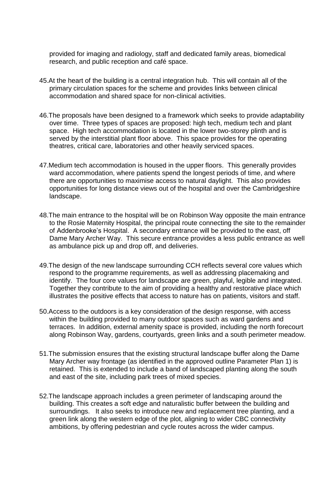provided for imaging and radiology, staff and dedicated family areas, biomedical research, and public reception and café space.

- 45.At the heart of the building is a central integration hub. This will contain all of the primary circulation spaces for the scheme and provides links between clinical accommodation and shared space for non-clinical activities.
- 46.The proposals have been designed to a framework which seeks to provide adaptability over time. Three types of spaces are proposed: high tech, medium tech and plant space. High tech accommodation is located in the lower two-storey plinth and is served by the interstitial plant floor above. This space provides for the operating theatres, critical care, laboratories and other heavily serviced spaces.
- 47.Medium tech accommodation is housed in the upper floors. This generally provides ward accommodation, where patients spend the longest periods of time, and where there are opportunities to maximise access to natural daylight. This also provides opportunities for long distance views out of the hospital and over the Cambridgeshire landscape.
- 48.The main entrance to the hospital will be on Robinson Way opposite the main entrance to the Rosie Maternity Hospital, the principal route connecting the site to the remainder of Addenbrooke's Hospital. A secondary entrance will be provided to the east, off Dame Mary Archer Way. This secure entrance provides a less public entrance as well as ambulance pick up and drop off, and deliveries.
- 49.The design of the new landscape surrounding CCH reflects several core values which respond to the programme requirements, as well as addressing placemaking and identify. The four core values for landscape are green, playful, legible and integrated. Together they contribute to the aim of providing a healthy and restorative place which illustrates the positive effects that access to nature has on patients, visitors and staff.
- 50.Access to the outdoors is a key consideration of the design response, with access within the building provided to many outdoor spaces such as ward gardens and terraces. In addition, external amenity space is provided, including the north forecourt along Robinson Way, gardens, courtyards, green links and a south perimeter meadow.
- 51.The submission ensures that the existing structural landscape buffer along the Dame Mary Archer way frontage (as identified in the approved outline Parameter Plan 1) is retained. This is extended to include a band of landscaped planting along the south and east of the site, including park trees of mixed species.
- 52.The landscape approach includes a green perimeter of landscaping around the building. This creates a soft edge and naturalistic buffer between the building and surroundings. It also seeks to introduce new and replacement tree planting, and a green link along the western edge of the plot, aligning to wider CBC connectivity ambitions, by offering pedestrian and cycle routes across the wider campus.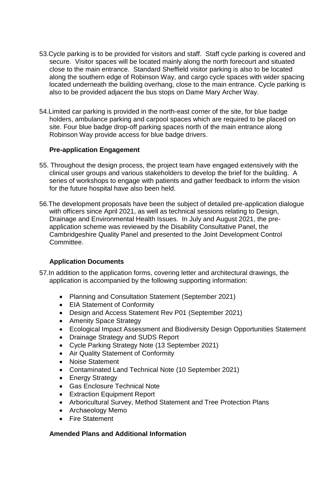- 53.Cycle parking is to be provided for visitors and staff. Staff cycle parking is covered and secure. Visitor spaces will be located mainly along the north forecourt and situated close to the main entrance. Standard Sheffield visitor parking is also to be located along the southern edge of Robinson Way, and cargo cycle spaces with wider spacing located underneath the building overhang, close to the main entrance. Cycle parking is also to be provided adjacent the bus stops on Dame Mary Archer Way.
- 54.Limited car parking is provided in the north-east corner of the site, for blue badge holders, ambulance parking and carpool spaces which are required to be placed on site. Four blue badge drop-off parking spaces north of the main entrance along Robinson Way provide access for blue badge drivers.

# **Pre-application Engagement**

- 55. Throughout the design process, the project team have engaged extensively with the clinical user groups and various stakeholders to develop the brief for the building. A series of workshops to engage with patients and gather feedback to inform the vision for the future hospital have also been held.
- 56.The development proposals have been the subject of detailed pre-application dialogue with officers since April 2021, as well as technical sessions relating to Design, Drainage and Environmental Health Issues. In July and August 2021, the preapplication scheme was reviewed by the Disability Consultative Panel, the Cambridgeshire Quality Panel and presented to the Joint Development Control Committee.

# **Application Documents**

- 57.In addition to the application forms, covering letter and architectural drawings, the application is accompanied by the following supporting information:
	- Planning and Consultation Statement (September 2021)
	- EIA Statement of Conformity
	- Design and Access Statement Rev P01 (September 2021)
	- Amenity Space Strategy
	- Ecological Impact Assessment and Biodiversity Design Opportunities Statement
	- Drainage Strategy and SUDS Report
	- Cycle Parking Strategy Note (13 September 2021)
	- Air Quality Statement of Conformity
	- Noise Statement
	- Contaminated Land Technical Note (10 September 2021)
	- Energy Strategy
	- Gas Enclosure Technical Note
	- Extraction Equipment Report
	- Arboricultural Survey, Method Statement and Tree Protection Plans
	- Archaeology Memo
	- Fire Statement

# **Amended Plans and Additional Information**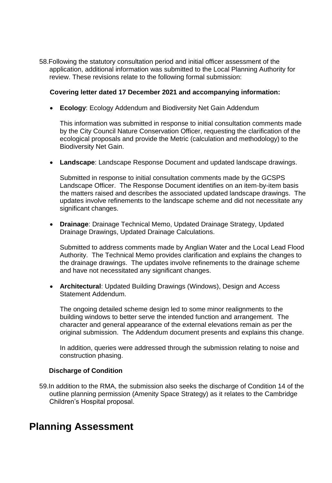58.Following the statutory consultation period and initial officer assessment of the application, additional information was submitted to the Local Planning Authority for review. These revisions relate to the following formal submission:

# **Covering letter dated 17 December 2021 and accompanying information:**

**Ecology**: Ecology Addendum and Biodiversity Net Gain Addendum

This information was submitted in response to initial consultation comments made by the City Council Nature Conservation Officer, requesting the clarification of the ecological proposals and provide the Metric (calculation and methodology) to the Biodiversity Net Gain.

**Landscape**: Landscape Response Document and updated landscape drawings.

Submitted in response to initial consultation comments made by the GCSPS Landscape Officer. The Response Document identifies on an item-by-item basis the matters raised and describes the associated updated landscape drawings. The updates involve refinements to the landscape scheme and did not necessitate any significant changes.

 **Drainage**: Drainage Technical Memo, Updated Drainage Strategy, Updated Drainage Drawings, Updated Drainage Calculations.

Submitted to address comments made by Anglian Water and the Local Lead Flood Authority. The Technical Memo provides clarification and explains the changes to the drainage drawings. The updates involve refinements to the drainage scheme and have not necessitated any significant changes.

 **Architectural**: Updated Building Drawings (Windows), Design and Access Statement Addendum.

The ongoing detailed scheme design led to some minor realignments to the building windows to better serve the intended function and arrangement. The character and general appearance of the external elevations remain as per the original submission. The Addendum document presents and explains this change.

In addition, queries were addressed through the submission relating to noise and construction phasing.

# **Discharge of Condition**

59.In addition to the RMA, the submission also seeks the discharge of Condition 14 of the outline planning permission (Amenity Space Strategy) as it relates to the Cambridge Children's Hospital proposal.

# **Planning Assessment**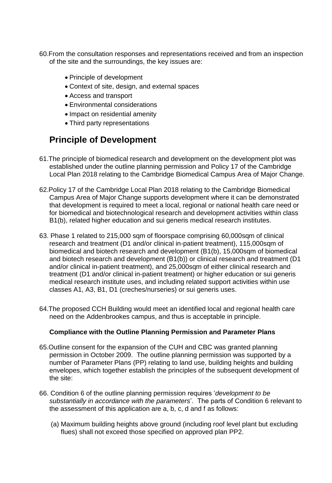- 60.From the consultation responses and representations received and from an inspection of the site and the surroundings, the key issues are:
	- Principle of development
	- Context of site, design, and external spaces
	- Access and transport
	- Environmental considerations
	- Impact on residential amenity
	- Third party representations

# **Principle of Development**

- 61.The principle of biomedical research and development on the development plot was established under the outline planning permission and Policy 17 of the Cambridge Local Plan 2018 relating to the Cambridge Biomedical Campus Area of Major Change.
- 62.Policy 17 of the Cambridge Local Plan 2018 relating to the Cambridge Biomedical Campus Area of Major Change supports development where it can be demonstrated that development is required to meet a local, regional or national health care need or for biomedical and biotechnological research and development activities within class B1(b), related higher education and sui generis medical research institutes.
- 63. Phase 1 related to 215,000 sqm of floorspace comprising 60,000sqm of clinical research and treatment (D1 and/or clinical in-patient treatment), 115,000sqm of biomedical and biotech research and development (B1(b), 15,000sqm of biomedical and biotech research and development (B1(b)) or clinical research and treatment (D1 and/or clinical in-patient treatment), and 25,000sqm of either clinical research and treatment (D1 and/or clinical in-patient treatment) or higher education or sui generis medical research institute uses, and including related support activities within use classes A1, A3, B1, D1 (creches/nurseries) or sui generis uses.
- 64.The proposed CCH Building would meet an identified local and regional health care need on the Addenbrookes campus, and thus is acceptable in principle.

# **Compliance with the Outline Planning Permission and Parameter Plans**

- 65.Outline consent for the expansion of the CUH and CBC was granted planning permission in October 2009. The outline planning permission was supported by a number of Parameter Plans (PP) relating to land use, building heights and building envelopes, which together establish the principles of the subsequent development of the site:
- 66. Condition 6 of the outline planning permission requires '*development to be substantially in accordance with the parameters*'. The parts of Condition 6 relevant to the assessment of this application are a, b, c, d and f as follows:
	- (a) Maximum building heights above ground (including roof level plant but excluding flues) shall not exceed those specified on approved plan PP2.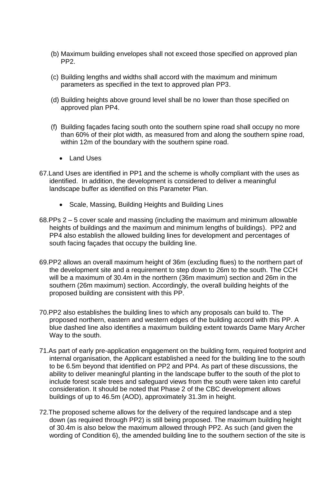- (b) Maximum building envelopes shall not exceed those specified on approved plan PP2.
- (c) Building lengths and widths shall accord with the maximum and minimum parameters as specified in the text to approved plan PP3.
- (d) Building heights above ground level shall be no lower than those specified on approved plan PP4.
- (f) Building façades facing south onto the southern spine road shall occupy no more than 60% of their plot width, as measured from and along the southern spine road, within 12m of the boundary with the southern spine road.
	- Land Uses
- 67.Land Uses are identified in PP1 and the scheme is wholly compliant with the uses as identified. In addition, the development is considered to deliver a meaningful landscape buffer as identified on this Parameter Plan.
	- Scale, Massing, Building Heights and Building Lines
- 68.PPs 2 5 cover scale and massing (including the maximum and minimum allowable heights of buildings and the maximum and minimum lengths of buildings). PP2 and PP4 also establish the allowed building lines for development and percentages of south facing façades that occupy the building line.
- 69.PP2 allows an overall maximum height of 36m (excluding flues) to the northern part of the development site and a requirement to step down to 26m to the south. The CCH will be a maximum of 30.4m in the northern (36m maximum) section and 26m in the southern (26m maximum) section. Accordingly, the overall building heights of the proposed building are consistent with this PP.
- 70.PP2 also establishes the building lines to which any proposals can build to. The proposed northern, eastern and western edges of the building accord with this PP. A blue dashed line also identifies a maximum building extent towards Dame Mary Archer Way to the south.
- 71.As part of early pre-application engagement on the building form, required footprint and internal organisation, the Applicant established a need for the building line to the south to be 6.5m beyond that identified on PP2 and PP4. As part of these discussions, the ability to deliver meaningful planting in the landscape buffer to the south of the plot to include forest scale trees and safeguard views from the south were taken into careful consideration. It should be noted that Phase 2 of the CBC development allows buildings of up to 46.5m (AOD), approximately 31.3m in height.
- 72.The proposed scheme allows for the delivery of the required landscape and a step down (as required through PP2) is still being proposed. The maximum building height of 30.4m is also below the maximum allowed through PP2. As such (and given the wording of Condition 6), the amended building line to the southern section of the site is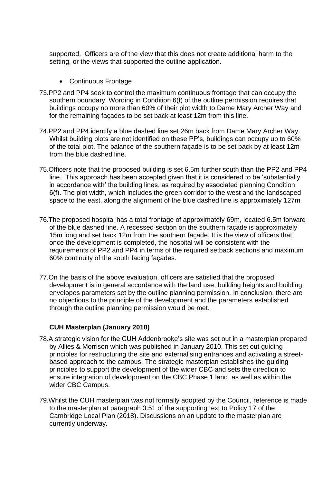supported. Officers are of the view that this does not create additional harm to the setting, or the views that supported the outline application.

- Continuous Frontage
- 73.PP2 and PP4 seek to control the maximum continuous frontage that can occupy the southern boundary. Wording in Condition 6(f) of the outline permission requires that buildings occupy no more than 60% of their plot width to Dame Mary Archer Way and for the remaining façades to be set back at least 12m from this line.
- 74.PP2 and PP4 identify a blue dashed line set 26m back from Dame Mary Archer Way. Whilst building plots are not identified on these PP's, buildings can occupy up to 60% of the total plot. The balance of the southern façade is to be set back by at least 12m from the blue dashed line.
- 75.Officers note that the proposed building is set 6.5m further south than the PP2 and PP4 line. This approach has been accepted given that it is considered to be 'substantially in accordance with' the building lines, as required by associated planning Condition 6(f). The plot width, which includes the green corridor to the west and the landscaped space to the east, along the alignment of the blue dashed line is approximately 127m.
- 76.The proposed hospital has a total frontage of approximately 69m, located 6.5m forward of the blue dashed line. A recessed section on the southern façade is approximately 15m long and set back 12m from the southern façade. It is the view of officers that, once the development is completed, the hospital will be consistent with the requirements of PP2 and PP4 in terms of the required setback sections and maximum 60% continuity of the south facing façades.
- 77.On the basis of the above evaluation, officers are satisfied that the proposed development is in general accordance with the land use, building heights and building envelopes parameters set by the outline planning permission. In conclusion, there are no objections to the principle of the development and the parameters established through the outline planning permission would be met.

# **CUH Masterplan (January 2010)**

- 78.A strategic vision for the CUH Addenbrooke's site was set out in a masterplan prepared by Allies & Morrison which was published in January 2010. This set out guiding principles for restructuring the site and externalising entrances and activating a streetbased approach to the campus. The strategic masterplan establishes the guiding principles to support the development of the wider CBC and sets the direction to ensure integration of development on the CBC Phase 1 land, as well as within the wider CBC Campus.
- 79.Whilst the CUH masterplan was not formally adopted by the Council, reference is made to the masterplan at paragraph 3.51 of the supporting text to Policy 17 of the Cambridge Local Plan (2018). Discussions on an update to the masterplan are currently underway.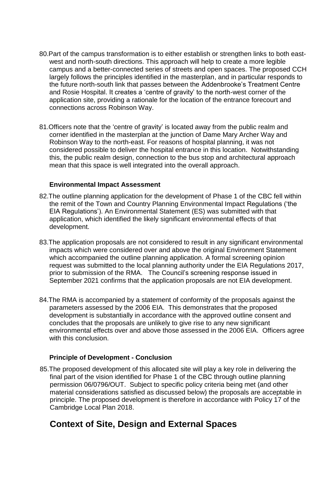- 80.Part of the campus transformation is to either establish or strengthen links to both eastwest and north-south directions. This approach will help to create a more legible campus and a better-connected series of streets and open spaces. The proposed CCH largely follows the principles identified in the masterplan, and in particular responds to the future north-south link that passes between the Addenbrooke's Treatment Centre and Rosie Hospital. It creates a 'centre of gravity' to the north-west corner of the application site, providing a rationale for the location of the entrance forecourt and connections across Robinson Way.
- 81.Officers note that the 'centre of gravity' is located away from the public realm and corner identified in the masterplan at the junction of Dame Mary Archer Way and Robinson Way to the north-east. For reasons of hospital planning, it was not considered possible to deliver the hospital entrance in this location. Notwithstanding this, the public realm design, connection to the bus stop and architectural approach mean that this space is well integrated into the overall approach.

#### **Environmental Impact Assessment**

- 82.The outline planning application for the development of Phase 1 of the CBC fell within the remit of the Town and Country Planning Environmental Impact Regulations ('the EIA Regulations'). An Environmental Statement (ES) was submitted with that application, which identified the likely significant environmental effects of that development.
- 83.The application proposals are not considered to result in any significant environmental impacts which were considered over and above the original Environment Statement which accompanied the outline planning application. A formal screening opinion request was submitted to the local planning authority under the EIA Regulations 2017, prior to submission of the RMA. The Council's screening response issued in September 2021 confirms that the application proposals are not EIA development.
- 84.The RMA is accompanied by a statement of conformity of the proposals against the parameters assessed by the 2006 EIA. This demonstrates that the proposed development is substantially in accordance with the approved outline consent and concludes that the proposals are unlikely to give rise to any new significant environmental effects over and above those assessed in the 2006 EIA. Officers agree with this conclusion.

#### **Principle of Development - Conclusion**

85.The proposed development of this allocated site will play a key role in delivering the final part of the vision identified for Phase 1 of the CBC through outline planning permission 06/0796/OUT. Subject to specific policy criteria being met (and other material considerations satisfied as discussed below) the proposals are acceptable in principle. The proposed development is therefore in accordance with Policy 17 of the Cambridge Local Plan 2018.

# **Context of Site, Design and External Spaces**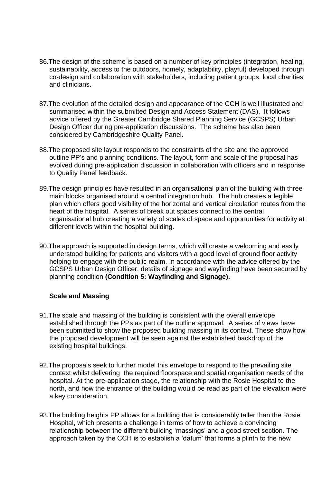- 86.The design of the scheme is based on a number of key principles (integration, healing, sustainability, access to the outdoors, homely, adaptability, playful) developed through co-design and collaboration with stakeholders, including patient groups, local charities and clinicians.
- 87.The evolution of the detailed design and appearance of the CCH is well illustrated and summarised within the submitted Design and Access Statement (DAS). It follows advice offered by the Greater Cambridge Shared Planning Service (GCSPS) Urban Design Officer during pre-application discussions. The scheme has also been considered by Cambridgeshire Quality Panel.
- 88.The proposed site layout responds to the constraints of the site and the approved outline PP's and planning conditions. The layout, form and scale of the proposal has evolved during pre-application discussion in collaboration with officers and in response to Quality Panel feedback.
- 89.The design principles have resulted in an organisational plan of the building with three main blocks organised around a central integration hub. The hub creates a legible plan which offers good visibility of the horizontal and vertical circulation routes from the heart of the hospital. A series of break out spaces connect to the central organisational hub creating a variety of scales of space and opportunities for activity at different levels within the hospital building.
- 90.The approach is supported in design terms, which will create a welcoming and easily understood building for patients and visitors with a good level of ground floor activity helping to engage with the public realm. In accordance with the advice offered by the GCSPS Urban Design Officer, details of signage and wayfinding have been secured by planning condition **(Condition 5: Wayfinding and Signage).**

# **Scale and Massing**

- 91.The scale and massing of the building is consistent with the overall envelope established through the PPs as part of the outline approval. A series of views have been submitted to show the proposed building massing in its context. These show how the proposed development will be seen against the established backdrop of the existing hospital buildings.
- 92.The proposals seek to further model this envelope to respond to the prevailing site context whilst delivering the required floorspace and spatial organisation needs of the hospital. At the pre-application stage, the relationship with the Rosie Hospital to the north, and how the entrance of the building would be read as part of the elevation were a key consideration.
- 93.The building heights PP allows for a building that is considerably taller than the Rosie Hospital, which presents a challenge in terms of how to achieve a convincing relationship between the different building 'massings' and a good street section. The approach taken by the CCH is to establish a 'datum' that forms a plinth to the new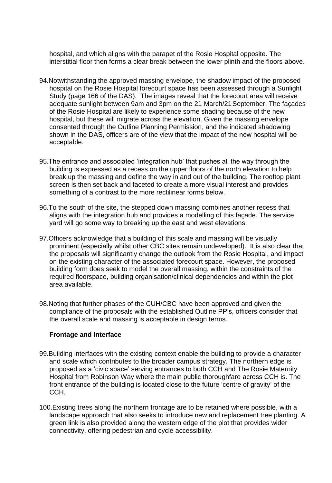hospital, and which aligns with the parapet of the Rosie Hospital opposite. The interstitial floor then forms a clear break between the lower plinth and the floors above.

- 94.Notwithstanding the approved massing envelope, the shadow impact of the proposed hospital on the Rosie Hospital forecourt space has been assessed through a Sunlight Study (page 166 of the DAS). The images reveal that the forecourt area will receive adequate sunlight between 9am and 3pm on the 21 March/21September. The façades of the Rosie Hospital are likely to experience some shading because of the new hospital, but these will migrate across the elevation. Given the massing envelope consented through the Outline Planning Permission, and the indicated shadowing shown in the DAS, officers are of the view that the impact of the new hospital will be acceptable.
- 95.The entrance and associated 'integration hub' that pushes all the way through the building is expressed as a recess on the upper floors of the north elevation to help break up the massing and define the way in and out of the building. The rooftop plant screen is then set back and faceted to create a more visual interest and provides something of a contrast to the more rectilinear forms below.
- 96.To the south of the site, the stepped down massing combines another recess that aligns with the integration hub and provides a modelling of this façade. The service yard will go some way to breaking up the east and west elevations.
- 97.Officers acknowledge that a building of this scale and massing will be visually prominent (especially whilst other CBC sites remain undeveloped). It is also clear that the proposals will significantly change the outlook from the Rosie Hospital, and impact on the existing character of the associated forecourt space. However, the proposed building form does seek to model the overall massing, within the constraints of the required floorspace, building organisation/clinical dependencies and within the plot area available.
- 98.Noting that further phases of the CUH/CBC have been approved and given the compliance of the proposals with the established Outline PP's, officers consider that the overall scale and massing is acceptable in design terms.

#### **Frontage and Interface**

- 99.Building interfaces with the existing context enable the building to provide a character and scale which contributes to the broader campus strategy. The northern edge is proposed as a 'civic space' serving entrances to both CCH and The Rosie Maternity Hospital from Robinson Way where the main public thoroughfare across CCH is. The front entrance of the building is located close to the future 'centre of gravity' of the CCH.
- 100.Existing trees along the northern frontage are to be retained where possible, with a landscape approach that also seeks to introduce new and replacement tree planting. A green link is also provided along the western edge of the plot that provides wider connectivity, offering pedestrian and cycle accessibility.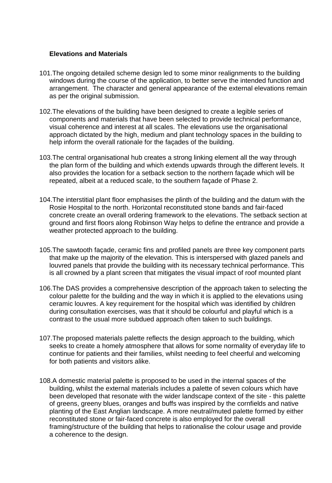#### **Elevations and Materials**

- 101.The ongoing detailed scheme design led to some minor realignments to the building windows during the course of the application, to better serve the intended function and arrangement. The character and general appearance of the external elevations remain as per the original submission.
- 102.The elevations of the building have been designed to create a legible series of components and materials that have been selected to provide technical performance, visual coherence and interest at all scales. The elevations use the organisational approach dictated by the high, medium and plant technology spaces in the building to help inform the overall rationale for the façades of the building.
- 103.The central organisational hub creates a strong linking element all the way through the plan form of the building and which extends upwards through the different levels. It also provides the location for a setback section to the northern façade which will be repeated, albeit at a reduced scale, to the southern façade of Phase 2.
- 104.The interstitial plant floor emphasises the plinth of the building and the datum with the Rosie Hospital to the north. Horizontal reconstituted stone bands and fair-faced concrete create an overall ordering framework to the elevations. The setback section at ground and first floors along Robinson Way helps to define the entrance and provide a weather protected approach to the building.
- 105.The sawtooth façade, ceramic fins and profiled panels are three key component parts that make up the majority of the elevation. This is interspersed with glazed panels and louvred panels that provide the building with its necessary technical performance. This is all crowned by a plant screen that mitigates the visual impact of roof mounted plant
- 106.The DAS provides a comprehensive description of the approach taken to selecting the colour palette for the building and the way in which it is applied to the elevations using ceramic louvres. A key requirement for the hospital which was identified by children during consultation exercises, was that it should be colourful and playful which is a contrast to the usual more subdued approach often taken to such buildings.
- 107.The proposed materials palette reflects the design approach to the building, which seeks to create a homely atmosphere that allows for some normality of everyday life to continue for patients and their families, whilst needing to feel cheerful and welcoming for both patients and visitors alike.
- 108.A domestic material palette is proposed to be used in the internal spaces of the building, whilst the external materials includes a palette of seven colours which have been developed that resonate with the wider landscape context of the site - this palette of greens, greeny blues, oranges and buffs was inspired by the cornfields and native planting of the East Anglian landscape. A more neutral/muted palette formed by either reconstituted stone or fair-faced concrete is also employed for the overall framing/structure of the building that helps to rationalise the colour usage and provide a coherence to the design.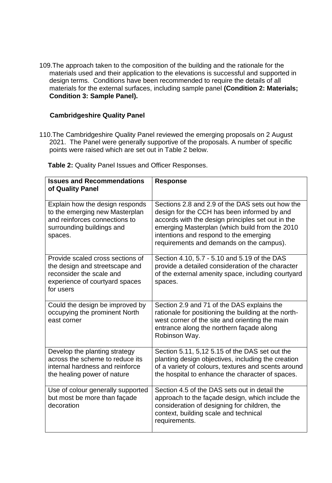109.The approach taken to the composition of the building and the rationale for the materials used and their application to the elevations is successful and supported in design terms. Conditions have been recommended to require the details of all materials for the external surfaces, including sample panel **(Condition 2: Materials; Condition 3: Sample Panel).**

#### **Cambridgeshire Quality Panel**

110.The Cambridgeshire Quality Panel reviewed the emerging proposals on 2 August 2021. The Panel were generally supportive of the proposals. A number of specific points were raised which are set out in Table 2 below.

 **Table 2:** Quality Panel Issues and Officer Responses.

| <b>Issues and Recommendations</b><br>of Quality Panel                                                                                         | <b>Response</b>                                                                                                                                                                                                                                                                              |
|-----------------------------------------------------------------------------------------------------------------------------------------------|----------------------------------------------------------------------------------------------------------------------------------------------------------------------------------------------------------------------------------------------------------------------------------------------|
| Explain how the design responds<br>to the emerging new Masterplan<br>and reinforces connections to<br>surrounding buildings and<br>spaces.    | Sections 2.8 and 2.9 of the DAS sets out how the<br>design for the CCH has been informed by and<br>accords with the design principles set out in the<br>emerging Masterplan (which build from the 2010<br>intentions and respond to the emerging<br>requirements and demands on the campus). |
| Provide scaled cross sections of<br>the design and streetscape and<br>reconsider the scale and<br>experience of courtyard spaces<br>for users | Section 4.10, 5.7 - 5.10 and 5.19 of the DAS<br>provide a detailed consideration of the character<br>of the external amenity space, including courtyard<br>spaces.                                                                                                                           |
| Could the design be improved by<br>occupying the prominent North<br>east corner                                                               | Section 2.9 and 71 of the DAS explains the<br>rationale for positioning the building at the north-<br>west corner of the site and orienting the main<br>entrance along the northern façade along<br>Robinson Way.                                                                            |
| Develop the planting strategy<br>across the scheme to reduce its<br>internal hardness and reinforce<br>the healing power of nature            | Section 5.11, 5,12 5.15 of the DAS set out the<br>planting design objectives, including the creation<br>of a variety of colours, textures and scents around<br>the hospital to enhance the character of spaces.                                                                              |
| Use of colour generally supported<br>but most be more than façade<br>decoration                                                               | Section 4.5 of the DAS sets out in detail the<br>approach to the façade design, which include the<br>consideration of designing for children, the<br>context, building scale and technical<br>requirements.                                                                                  |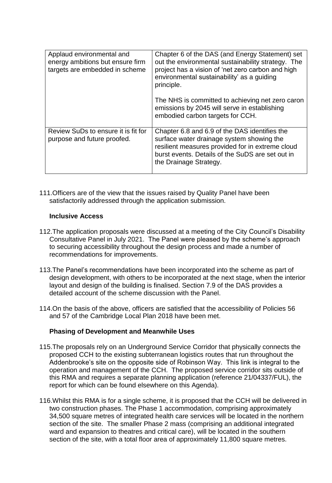| Applaud environmental and<br>energy ambitions but ensure firm<br>targets are embedded in scheme | Chapter 6 of the DAS (and Energy Statement) set<br>out the environmental sustainability strategy. The<br>project has a vision of 'net zero carbon and high<br>environmental sustainability' as a quiding<br>principle.<br>The NHS is committed to achieving net zero caron<br>emissions by 2045 will serve in establishing<br>embodied carbon targets for CCH. |
|-------------------------------------------------------------------------------------------------|----------------------------------------------------------------------------------------------------------------------------------------------------------------------------------------------------------------------------------------------------------------------------------------------------------------------------------------------------------------|
| Review SuDs to ensure it is fit for<br>purpose and future proofed.                              | Chapter 6.8 and 6.9 of the DAS identifies the<br>surface water drainage system showing the<br>resilient measures provided for in extreme cloud<br>burst events. Details of the SuDS are set out in<br>the Drainage Strategy.                                                                                                                                   |

111.Officers are of the view that the issues raised by Quality Panel have been satisfactorily addressed through the application submission.

#### **Inclusive Access**

- 112.The application proposals were discussed at a meeting of the City Council's Disability Consultative Panel in July 2021. The Panel were pleased by the scheme's approach to securing accessibility throughout the design process and made a number of recommendations for improvements.
- 113.The Panel's recommendations have been incorporated into the scheme as part of design development, with others to be incorporated at the next stage, when the interior layout and design of the building is finalised. Section 7.9 of the DAS provides a detailed account of the scheme discussion with the Panel.
- 114.On the basis of the above, officers are satisfied that the accessibility of Policies 56 and 57 of the Cambridge Local Plan 2018 have been met.

# **Phasing of Development and Meanwhile Uses**

- 115.The proposals rely on an Underground Service Corridor that physically connects the proposed CCH to the existing subterranean logistics routes that run throughout the Addenbrooke's site on the opposite side of Robinson Way. This link is integral to the operation and management of the CCH. The proposed service corridor sits outside of this RMA and requires a separate planning application (reference 21/04337/FUL), the report for which can be found elsewhere on this Agenda).
- 116.Whilst this RMA is for a single scheme, it is proposed that the CCH will be delivered in two construction phases. The Phase 1 accommodation, comprising approximately 34,500 square metres of integrated health care services will be located in the northern section of the site. The smaller Phase 2 mass (comprising an additional integrated ward and expansion to theatres and critical care), will be located in the southern section of the site, with a total floor area of approximately 11,800 square metres.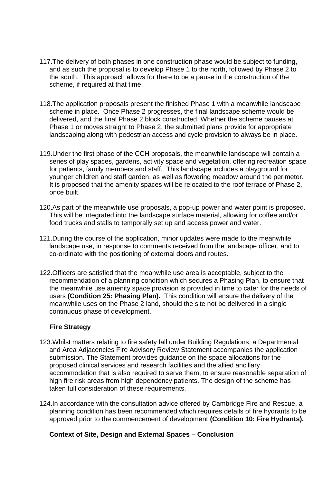- 117.The delivery of both phases in one construction phase would be subject to funding, and as such the proposal is to develop Phase 1 to the north, followed by Phase 2 to the south. This approach allows for there to be a pause in the construction of the scheme, if required at that time.
- 118.The application proposals present the finished Phase 1 with a meanwhile landscape scheme in place. Once Phase 2 progresses, the final landscape scheme would be delivered, and the final Phase 2 block constructed. Whether the scheme pauses at Phase 1 or moves straight to Phase 2, the submitted plans provide for appropriate landscaping along with pedestrian access and cycle provision to always be in place.
- 119.Under the first phase of the CCH proposals, the meanwhile landscape will contain a series of play spaces, gardens, activity space and vegetation, offering recreation space for patients, family members and staff. This landscape includes a playground for younger children and staff garden, as well as flowering meadow around the perimeter. It is proposed that the amenity spaces will be relocated to the roof terrace of Phase 2, once built.
- 120.As part of the meanwhile use proposals, a pop-up power and water point is proposed. This will be integrated into the landscape surface material, allowing for coffee and/or food trucks and stalls to temporally set up and access power and water.
- 121.During the course of the application, minor updates were made to the meanwhile landscape use, in response to comments received from the landscape officer, and to co-ordinate with the positioning of external doors and routes.
- 122.Officers are satisfied that the meanwhile use area is acceptable, subject to the recommendation of a planning condition which secures a Phasing Plan, to ensure that the meanwhile use amenity space provision is provided in time to cater for the needs of users **(Condition 25: Phasing Plan).** This condition will ensure the delivery of the meanwhile uses on the Phase 2 land, should the site not be delivered in a single continuous phase of development.

# **Fire Strategy**

- 123.Whilst matters relating to fire safety fall under Building Regulations, a Departmental and Area Adjacencies Fire Advisory Review Statement accompanies the application submission. The Statement provides guidance on the space allocations for the proposed clinical services and research facilities and the allied ancillary accommodation that is also required to serve them, to ensure reasonable separation of high fire risk areas from high dependency patients. The design of the scheme has taken full consideration of these requirements.
- 124.In accordance with the consultation advice offered by Cambridge Fire and Rescue, a planning condition has been recommended which requires details of fire hydrants to be approved prior to the commencement of development **(Condition 10: Fire Hydrants).**

#### **Context of Site, Design and External Spaces – Conclusion**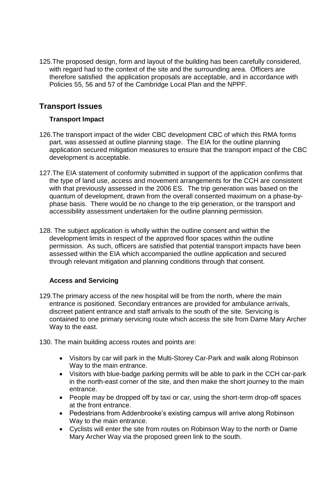125.The proposed design, form and layout of the building has been carefully considered, with regard had to the context of the site and the surrounding area. Officers are therefore satisfied the application proposals are acceptable, and in accordance with Policies 55, 56 and 57 of the Cambridge Local Plan and the NPPF.

# **Transport Issues**

# **Transport Impact**

- 126.The transport impact of the wider CBC development CBC of which this RMA forms part, was assessed at outline planning stage. The EIA for the outline planning application secured mitigation measures to ensure that the transport impact of the CBC development is acceptable.
- 127.The EIA statement of conformity submitted in support of the application confirms that the type of land use, access and movement arrangements for the CCH are consistent with that previously assessed in the 2006 ES. The trip generation was based on the quantum of development, drawn from the overall consented maximum on a phase-byphase basis. There would be no change to the trip generation, or the transport and accessibility assessment undertaken for the outline planning permission.
- 128. The subject application is wholly within the outline consent and within the development limits in respect of the approved floor spaces within the outline permission. As such, officers are satisfied that potential transport impacts have been assessed within the EIA which accompanied the outline application and secured through relevant mitigation and planning conditions through that consent.

# **Access and Servicing**

- 129.The primary access of the new hospital will be from the north, where the main entrance is positioned. Secondary entrances are provided for ambulance arrivals, discreet patient entrance and staff arrivals to the south of the site. Servicing is contained to one primary servicing route which access the site from Dame Mary Archer Way to the east.
- 130. The main building access routes and points are:
	- Visitors by car will park in the Multi-Storey Car-Park and walk along Robinson Way to the main entrance.
	- Visitors with blue-badge parking permits will be able to park in the CCH car-park in the north-east corner of the site, and then make the short journey to the main entrance.
	- People may be dropped off by taxi or car, using the short-term drop-off spaces at the front entrance.
	- Pedestrians from Addenbrooke's existing campus will arrive along Robinson Way to the main entrance.
	- Cyclists will enter the site from routes on Robinson Way to the north or Dame Mary Archer Way via the proposed green link to the south.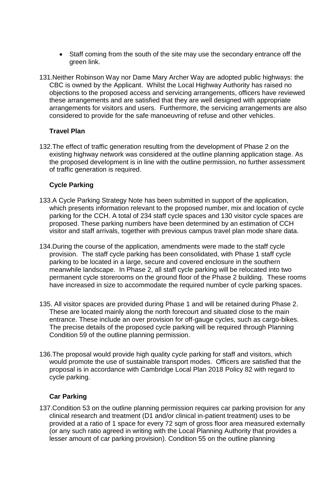- Staff coming from the south of the site may use the secondary entrance off the green link.
- 131.Neither Robinson Way nor Dame Mary Archer Way are adopted public highways: the CBC is owned by the Applicant. Whilst the Local Highway Authority has raised no objections to the proposed access and servicing arrangements, officers have reviewed these arrangements and are satisfied that they are well designed with appropriate arrangements for visitors and users. Furthermore, the servicing arrangements are also considered to provide for the safe manoeuvring of refuse and other vehicles.

# **Travel Plan**

132.The effect of traffic generation resulting from the development of Phase 2 on the existing highway network was considered at the outline planning application stage. As the proposed development is in line with the outline permission, no further assessment of traffic generation is required.

# **Cycle Parking**

- 133.A Cycle Parking Strategy Note has been submitted in support of the application, which presents information relevant to the proposed number, mix and location of cycle parking for the CCH. A total of 234 staff cycle spaces and 130 visitor cycle spaces are proposed. These parking numbers have been determined by an estimation of CCH visitor and staff arrivals, together with previous campus travel plan mode share data.
- 134.During the course of the application, amendments were made to the staff cycle provision. The staff cycle parking has been consolidated, with Phase 1 staff cycle parking to be located in a large, secure and covered enclosure in the southern meanwhile landscape. In Phase 2, all staff cycle parking will be relocated into two permanent cycle storerooms on the ground floor of the Phase 2 building. These rooms have increased in size to accommodate the required number of cycle parking spaces.
- 135. All visitor spaces are provided during Phase 1 and will be retained during Phase 2. These are located mainly along the north forecourt and situated close to the main entrance. These include an over provision for off-gauge cycles, such as cargo-bikes. The precise details of the proposed cycle parking will be required through Planning Condition 59 of the outline planning permission.
- 136.The proposal would provide high quality cycle parking for staff and visitors, which would promote the use of sustainable transport modes. Officers are satisfied that the proposal is in accordance with Cambridge Local Plan 2018 Policy 82 with regard to cycle parking.

# **Car Parking**

137.Condition 53 on the outline planning permission requires car parking provision for any clinical research and treatment (D1 and/or clinical in-patient treatment) uses to be provided at a ratio of 1 space for every 72 sqm of gross floor area measured externally (or any such ratio agreed in writing with the Local Planning Authority that provides a lesser amount of car parking provision). Condition 55 on the outline planning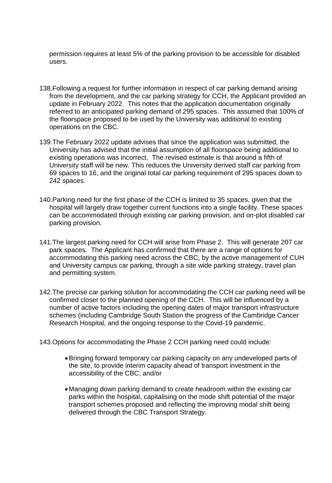permission requires at least 5% of the parking provision to be accessible for disabled users.

- 138.Following a request for further information in respect of car parking demand arising from the development, and the car parking strategy for CCH, the Applicant provided an update in February 2022. This notes that the application documentation originally referred to an anticipated parking demand of 295 spaces. This assumed that 100% of the floorspace proposed to be used by the University was additional to existing operations on the CBC.
- 139.The February 2022 update advises that since the application was submitted, the University has advised that the initial assumption of all floorspace being additional to existing operations was incorrect. The revised estimate is that around a fifth of University staff will be new. This reduces the University derived staff car parking from 69 spaces to 16, and the original total car parking requirement of 295 spaces down to 242 spaces.
- 140.Parking need for the first phase of the CCH is limited to 35 spaces, given that the hospital will largely draw together current functions into a single facility. These spaces can be accommodated through existing car parking provision, and on-plot disabled car parking provision.
- 141.The largest parking need for CCH will arise from Phase 2. This will generate 207 car park spaces. The Applicant has confirmed that there are a range of options for accommodating this parking need across the CBC, by the active management of CUH and University campus car parking, through a site wide parking strategy, travel plan and permitting system.
- 142.The precise car parking solution for accommodating the CCH car parking need will be confirmed closer to the planned opening of the CCH. This will be influenced by a number of active factors including the opening dates of major transport infrastructure schemes (including Cambridge South Station the progress of the Cambridge Cancer Research Hospital, and the ongoing response to the Covid-19 pandemic.

143.Options for accommodating the Phase 2 CCH parking need could include:

- Bringing forward temporary car parking capacity on any undeveloped parts of the site, to provide interim capacity ahead of transport investment in the accessibility of the CBC; and/or
- Managing down parking demand to create headroom within the existing car parks within the hospital, capitalising on the mode shift potential of the major transport schemes proposed and reflecting the improving modal shift being delivered through the CBC Transport Strategy.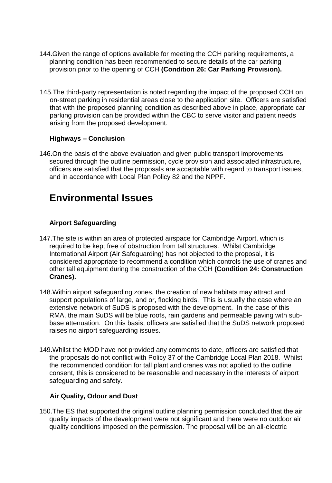- 144.Given the range of options available for meeting the CCH parking requirements, a planning condition has been recommended to secure details of the car parking provision prior to the opening of CCH **(Condition 26: Car Parking Provision).**
- 145.The third-party representation is noted regarding the impact of the proposed CCH on on-street parking in residential areas close to the application site. Officers are satisfied that with the proposed planning condition as described above in place, appropriate car parking provision can be provided within the CBC to serve visitor and patient needs arising from the proposed development.

# **Highways – Conclusion**

146.On the basis of the above evaluation and given public transport improvements secured through the outline permission, cycle provision and associated infrastructure, officers are satisfied that the proposals are acceptable with regard to transport issues, and in accordance with Local Plan Policy 82 and the NPPF.

# **Environmental Issues**

# **Airport Safeguarding**

- 147.The site is within an area of protected airspace for Cambridge Airport, which is required to be kept free of obstruction from tall structures. Whilst Cambridge International Airport (Air Safeguarding) has not objected to the proposal, it is considered appropriate to recommend a condition which controls the use of cranes and other tall equipment during the construction of the CCH **(Condition 24: Construction Cranes).**
- 148.Within airport safeguarding zones, the creation of new habitats may attract and support populations of large, and or, flocking birds. This is usually the case where an extensive network of SuDS is proposed with the development. In the case of this RMA, the main SuDS will be blue roofs, rain gardens and permeable paving with subbase attenuation. On this basis, officers are satisfied that the SuDS network proposed raises no airport safeguarding issues.
- 149.Whilst the MOD have not provided any comments to date, officers are satisfied that the proposals do not conflict with Policy 37 of the Cambridge Local Plan 2018. Whilst the recommended condition for tall plant and cranes was not applied to the outline consent, this is considered to be reasonable and necessary in the interests of airport safeguarding and safety.

# **Air Quality, Odour and Dust**

150.The ES that supported the original outline planning permission concluded that the air quality impacts of the development were not significant and there were no outdoor air quality conditions imposed on the permission. The proposal will be an all-electric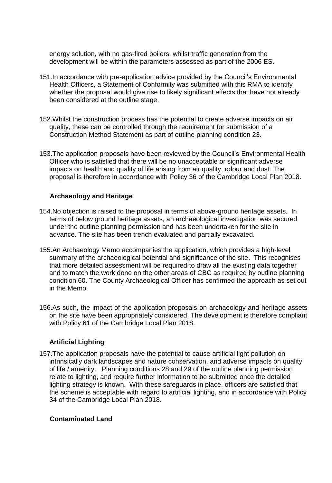energy solution, with no gas-fired boilers, whilst traffic generation from the development will be within the parameters assessed as part of the 2006 ES.

- 151.In accordance with pre-application advice provided by the Council's Environmental Health Officers, a Statement of Conformity was submitted with this RMA to identify whether the proposal would give rise to likely significant effects that have not already been considered at the outline stage.
- 152.Whilst the construction process has the potential to create adverse impacts on air quality, these can be controlled through the requirement for submission of a Construction Method Statement as part of outline planning condition 23.
- 153.The application proposals have been reviewed by the Council's Environmental Health Officer who is satisfied that there will be no unacceptable or significant adverse impacts on health and quality of life arising from air quality, odour and dust. The proposal is therefore in accordance with Policy 36 of the Cambridge Local Plan 2018.

# **Archaeology and Heritage**

- 154.No objection is raised to the proposal in terms of above-ground heritage assets. In terms of below ground heritage assets, an archaeological investigation was secured under the outline planning permission and has been undertaken for the site in advance. The site has been trench evaluated and partially excavated.
- 155.An Archaeology Memo accompanies the application, which provides a high-level summary of the archaeological potential and significance of the site. This recognises that more detailed assessment will be required to draw all the existing data together and to match the work done on the other areas of CBC as required by outline planning condition 60. The County Archaeological Officer has confirmed the approach as set out in the Memo.
- 156.As such, the impact of the application proposals on archaeology and heritage assets on the site have been appropriately considered. The development is therefore compliant with Policy 61 of the Cambridge Local Plan 2018.

# **Artificial Lighting**

157.The application proposals have the potential to cause artificial light pollution on intrinsically dark landscapes and nature conservation, and adverse impacts on quality of life / amenity. Planning conditions 28 and 29 of the outline planning permission relate to lighting, and require further information to be submitted once the detailed lighting strategy is known. With these safeguards in place, officers are satisfied that the scheme is acceptable with regard to artificial lighting, and in accordance with Policy 34 of the Cambridge Local Plan 2018.

#### **Contaminated Land**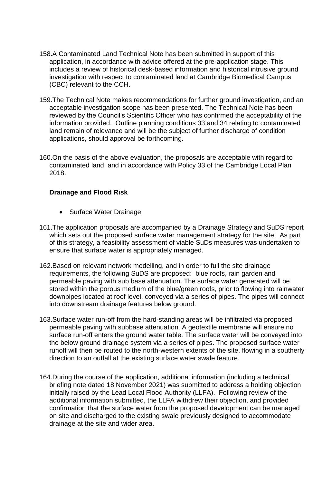- 158.A Contaminated Land Technical Note has been submitted in support of this application, in accordance with advice offered at the pre-application stage. This includes a review of historical desk-based information and historical intrusive ground investigation with respect to contaminated land at Cambridge Biomedical Campus (CBC) relevant to the CCH.
- 159.The Technical Note makes recommendations for further ground investigation, and an acceptable investigation scope has been presented. The Technical Note has been reviewed by the Council's Scientific Officer who has confirmed the acceptability of the information provided. Outline planning conditions 33 and 34 relating to contaminated land remain of relevance and will be the subject of further discharge of condition applications, should approval be forthcoming.
- 160.On the basis of the above evaluation, the proposals are acceptable with regard to contaminated land, and in accordance with Policy 33 of the Cambridge Local Plan 2018.

# **Drainage and Flood Risk**

- Surface Water Drainage
- 161.The application proposals are accompanied by a Drainage Strategy and SuDS report which sets out the proposed surface water management strategy for the site. As part of this strategy, a feasibility assessment of viable SuDs measures was undertaken to ensure that surface water is appropriately managed.
- 162.Based on relevant network modelling, and in order to full the site drainage requirements, the following SuDS are proposed: blue roofs, rain garden and permeable paving with sub base attenuation. The surface water generated will be stored within the porous medium of the blue/green roofs, prior to flowing into rainwater downpipes located at roof level, conveyed via a series of pipes. The pipes will connect into downstream drainage features below ground.
- 163.Surface water run-off from the hard-standing areas will be infiltrated via proposed permeable paving with subbase attenuation. A geotextile membrane will ensure no surface run-off enters the ground water table. The surface water will be conveyed into the below ground drainage system via a series of pipes. The proposed surface water runoff will then be routed to the north-western extents of the site, flowing in a southerly direction to an outfall at the existing surface water swale feature.
- 164.During the course of the application, additional information (including a technical briefing note dated 18 November 2021) was submitted to address a holding objection initially raised by the Lead Local Flood Authority (LLFA). Following review of the additional information submitted, the LLFA withdrew their objection, and provided confirmation that the surface water from the proposed development can be managed on site and discharged to the existing swale previously designed to accommodate drainage at the site and wider area.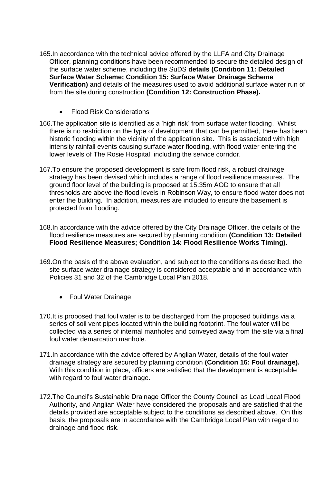- 165.In accordance with the technical advice offered by the LLFA and City Drainage Officer, planning conditions have been recommended to secure the detailed design of the surface water scheme, including the SuDS **details (Condition 11: Detailed Surface Water Scheme; Condition 15: Surface Water Drainage Scheme Verification)** and details of the measures used to avoid additional surface water run of from the site during construction **(Condition 12: Construction Phase).**
	- Flood Risk Considerations
- 166.The application site is identified as a 'high risk' from surface water flooding. Whilst there is no restriction on the type of development that can be permitted, there has been historic flooding within the vicinity of the application site. This is associated with high intensity rainfall events causing surface water flooding, with flood water entering the lower levels of The Rosie Hospital, including the service corridor.
- 167.To ensure the proposed development is safe from flood risk, a robust drainage strategy has been devised which includes a range of flood resilience measures. The ground floor level of the building is proposed at 15.35m AOD to ensure that all thresholds are above the flood levels in Robinson Way, to ensure flood water does not enter the building. In addition, measures are included to ensure the basement is protected from flooding.
- 168.In accordance with the advice offered by the City Drainage Officer, the details of the flood resilience measures are secured by planning condition **(Condition 13: Detailed Flood Resilience Measures; Condition 14: Flood Resilience Works Timing).**
- 169.On the basis of the above evaluation, and subject to the conditions as described, the site surface water drainage strategy is considered acceptable and in accordance with Policies 31 and 32 of the Cambridge Local Plan 2018.
	- Foul Water Drainage
- 170.It is proposed that foul water is to be discharged from the proposed buildings via a series of soil vent pipes located within the building footprint. The foul water will be collected via a series of internal manholes and conveyed away from the site via a final foul water demarcation manhole.
- 171.In accordance with the advice offered by Anglian Water, details of the foul water drainage strategy are secured by planning condition **(Condition 16: Foul drainage).**  With this condition in place, officers are satisfied that the development is acceptable with regard to foul water drainage.
- 172.The Council's Sustainable Drainage Officer the County Council as Lead Local Flood Authority, and Anglian Water have considered the proposals and are satisfied that the details provided are acceptable subject to the conditions as described above. On this basis, the proposals are in accordance with the Cambridge Local Plan with regard to drainage and flood risk.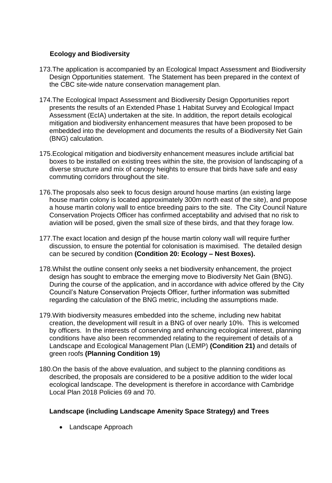# **Ecology and Biodiversity**

- 173.The application is accompanied by an Ecological Impact Assessment and Biodiversity Design Opportunities statement. The Statement has been prepared in the context of the CBC site-wide nature conservation management plan.
- 174.The Ecological Impact Assessment and Biodiversity Design Opportunities report presents the results of an Extended Phase 1 Habitat Survey and Ecological Impact Assessment (EcIA) undertaken at the site. In addition, the report details ecological mitigation and biodiversity enhancement measures that have been proposed to be embedded into the development and documents the results of a Biodiversity Net Gain (BNG) calculation.
- 175.Ecological mitigation and biodiversity enhancement measures include artificial bat boxes to be installed on existing trees within the site, the provision of landscaping of a diverse structure and mix of canopy heights to ensure that birds have safe and easy commuting corridors throughout the site.
- 176.The proposals also seek to focus design around house martins (an existing large house martin colony is located approximately 300m north east of the site), and propose a house martin colony wall to entice breeding pairs to the site. The City Council Nature Conservation Projects Officer has confirmed acceptability and advised that no risk to aviation will be posed, given the small size of these birds, and that they forage low.
- 177.The exact location and design pf the house martin colony wall will require further discussion, to ensure the potential for colonisation is maximised. The detailed design can be secured by condition **(Condition 20: Ecology – Nest Boxes).**
- 178.Whilst the outline consent only seeks a net biodiversity enhancement, the project design has sought to embrace the emerging move to Biodiversity Net Gain (BNG). During the course of the application, and in accordance with advice offered by the City Council's Nature Conservation Projects Officer, further information was submitted regarding the calculation of the BNG metric, including the assumptions made.
- 179.With biodiversity measures embedded into the scheme, including new habitat creation, the development will result in a BNG of over nearly 10%. This is welcomed by officers. In the interests of conserving and enhancing ecological interest, planning conditions have also been recommended relating to the requirement of details of a Landscape and Ecological Management Plan (LEMP) **(Condition 21)** and details of green roofs **(Planning Condition 19)**
- 180.On the basis of the above evaluation, and subject to the planning conditions as described, the proposals are considered to be a positive addition to the wider local ecological landscape. The development is therefore in accordance with Cambridge Local Plan 2018 Policies 69 and 70.

# **Landscape (including Landscape Amenity Space Strategy) and Trees**

• Landscape Approach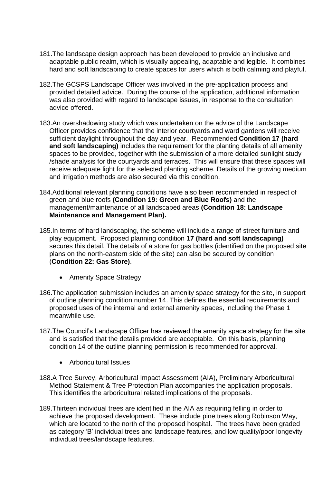- 181.The landscape design approach has been developed to provide an inclusive and adaptable public realm, which is visually appealing, adaptable and legible. It combines hard and soft landscaping to create spaces for users which is both calming and playful.
- 182.The GCSPS Landscape Officer was involved in the pre-application process and provided detailed advice. During the course of the application, additional information was also provided with regard to landscape issues, in response to the consultation advice offered.
- 183.An overshadowing study which was undertaken on the advice of the Landscape Officer provides confidence that the interior courtyards and ward gardens will receive sufficient daylight throughout the day and year. Recommended **Condition 17 (hard and soft landscaping)** includes the requirement for the planting details of all amenity spaces to be provided, together with the submission of a more detailed sunlight study /shade analysis for the courtyards and terraces. This will ensure that these spaces will receive adequate light for the selected planting scheme. Details of the growing medium and irrigation methods are also secured via this condition.
- 184.Additional relevant planning conditions have also been recommended in respect of green and blue roofs **(Condition 19: Green and Blue Roofs)** and the management/maintenance of all landscaped areas **(Condition 18: Landscape Maintenance and Management Plan).**
- 185.In terms of hard landscaping, the scheme will include a range of street furniture and play equipment. Proposed planning condition **17 (hard and soft landscaping)** secures this detail. The details of a store for gas bottles (identified on the proposed site plans on the north-eastern side of the site) can also be secured by condition (**Condition 22: Gas Store)**.
	- Amenity Space Strategy
- 186.The application submission includes an amenity space strategy for the site, in support of outline planning condition number 14. This defines the essential requirements and proposed uses of the internal and external amenity spaces, including the Phase 1 meanwhile use.
- 187.The Council's Landscape Officer has reviewed the amenity space strategy for the site and is satisfied that the details provided are acceptable. On this basis, planning condition 14 of the outline planning permission is recommended for approval.
	- Arboricultural Issues
- 188.A Tree Survey, Arboricultural Impact Assessment (AIA), Preliminary Arboricultural Method Statement & Tree Protection Plan accompanies the application proposals. This identifies the arboricultural related implications of the proposals.
- 189.Thirteen individual trees are identified in the AIA as requiring felling in order to achieve the proposed development. These include pine trees along Robinson Way, which are located to the north of the proposed hospital. The trees have been graded as category 'B' individual trees and landscape features, and low quality/poor longevity individual trees/landscape features.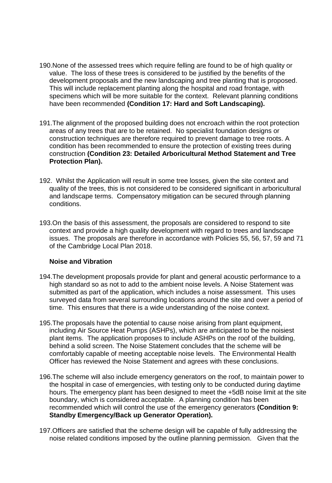- 190.None of the assessed trees which require felling are found to be of high quality or value. The loss of these trees is considered to be justified by the benefits of the development proposals and the new landscaping and tree planting that is proposed. This will include replacement planting along the hospital and road frontage, with specimens which will be more suitable for the context. Relevant planning conditions have been recommended **(Condition 17: Hard and Soft Landscaping).**
- 191.The alignment of the proposed building does not encroach within the root protection areas of any trees that are to be retained. No specialist foundation designs or construction techniques are therefore required to prevent damage to tree roots. A condition has been recommended to ensure the protection of existing trees during construction **(Condition 23: Detailed Arboricultural Method Statement and Tree Protection Plan).**
- 192.Whilst the Application will result in some tree losses, given the site context and quality of the trees, this is not considered to be considered significant in arboricultural and landscape terms. Compensatory mitigation can be secured through planning conditions.
- 193.On the basis of this assessment, the proposals are considered to respond to site context and provide a high quality development with regard to trees and landscape issues. The proposals are therefore in accordance with Policies 55, 56, 57, 59 and 71 of the Cambridge Local Plan 2018.

#### **Noise and Vibration**

- 194.The development proposals provide for plant and general acoustic performance to a high standard so as not to add to the ambient noise levels. A Noise Statement was submitted as part of the application, which includes a noise assessment. This uses surveyed data from several surrounding locations around the site and over a period of time. This ensures that there is a wide understanding of the noise context.
- 195.The proposals have the potential to cause noise arising from plant equipment, including Air Source Heat Pumps (ASHPs), which are anticipated to be the noisiest plant items. The application proposes to include ASHPs on the roof of the building, behind a solid screen. The Noise Statement concludes that the scheme will be comfortably capable of meeting acceptable noise levels. The Environmental Health Officer has reviewed the Noise Statement and agrees with these conclusions.
- 196.The scheme will also include emergency generators on the roof, to maintain power to the hospital in case of emergencies, with testing only to be conducted during daytime hours. The emergency plant has been designed to meet the +5dB noise limit at the site boundary, which is considered acceptable. A planning condition has been recommended which will control the use of the emergency generators **(Condition 9: Standby Emergency/Back up Generator Operation).**
- 197.Officers are satisfied that the scheme design will be capable of fully addressing the noise related conditions imposed by the outline planning permission. Given that the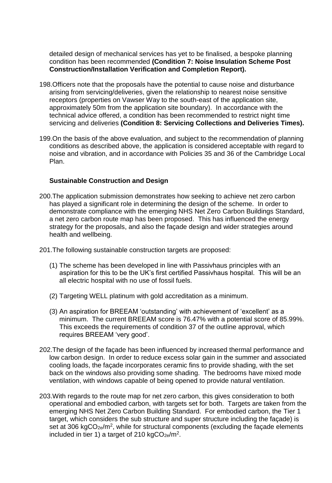detailed design of mechanical services has yet to be finalised, a bespoke planning condition has been recommended **(Condition 7: Noise Insulation Scheme Post Construction/Installation Verification and Completion Report).**

- 198.Officers note that the proposals have the potential to cause noise and disturbance arising from servicing/deliveries, given the relationship to nearest noise sensitive receptors (properties on Vawser Way to the south-east of the application site, approximately 50m from the application site boundary). In accordance with the technical advice offered, a condition has been recommended to restrict night time servicing and deliveries **(Condition 8: Servicing Collections and Deliveries Times).**
- 199.On the basis of the above evaluation, and subject to the recommendation of planning conditions as described above, the application is considered acceptable with regard to noise and vibration, and in accordance with Policies 35 and 36 of the Cambridge Local Plan.

#### **Sustainable Construction and Design**

- 200.The application submission demonstrates how seeking to achieve net zero carbon has played a significant role in determining the design of the scheme. In order to demonstrate compliance with the emerging NHS Net Zero Carbon Buildings Standard, a net zero carbon route map has been proposed. This has influenced the energy strategy for the proposals, and also the façade design and wider strategies around health and wellbeing.
- 201.The following sustainable construction targets are proposed:
	- (1) The scheme has been developed in line with Passivhaus principles with an aspiration for this to be the UK's first certified Passivhaus hospital. This will be an all electric hospital with no use of fossil fuels.
	- (2) Targeting WELL platinum with gold accreditation as a minimum.
	- (3) An aspiration for BREEAM 'outstanding' with achievement of 'excellent' as a minimum. The current BREEAM score is 76.47% with a potential score of 85.99%. This exceeds the requirements of condition 37 of the outline approval, which requires BREEAM 'very good'.
- 202.The design of the façade has been influenced by increased thermal performance and low carbon design. In order to reduce excess solar gain in the summer and associated cooling loads, the façade incorporates ceramic fins to provide shading, with the set back on the windows also providing some shading. The bedrooms have mixed mode ventilation, with windows capable of being opened to provide natural ventilation.
- 203.With regards to the route map for net zero carbon, this gives consideration to both operational and embodied carbon, with targets set for both. Targets are taken from the emerging NHS Net Zero Carbon Building Standard. For embodied carbon, the Tier 1 target, which considers the sub structure and super structure including the façade) is set at 306 kgCO<sub>2e</sub>/m<sup>2</sup>, while for structural components (excluding the façade elements included in tier 1) a target of 210 kgCO<sub>2e</sub>/m<sup>2</sup>.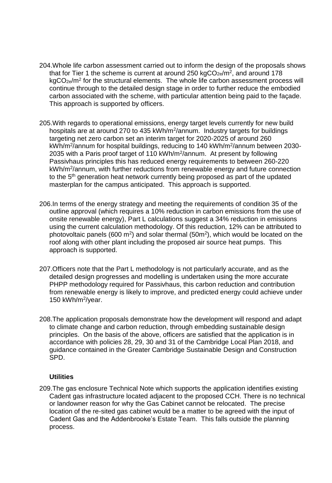- 204.Whole life carbon assessment carried out to inform the design of the proposals shows that for Tier 1 the scheme is current at around 250 kgCO<sub>2e</sub>/m<sup>2</sup>, and around 178  $kgCO<sub>2e</sub>/m<sup>2</sup>$  for the structural elements. The whole life carbon assessment process will continue through to the detailed design stage in order to further reduce the embodied carbon associated with the scheme, with particular attention being paid to the façade. This approach is supported by officers.
- 205.With regards to operational emissions, energy target levels currently for new build hospitals are at around 270 to 435 kWh/m<sup>2</sup>/annum. Industry targets for buildings targeting net zero carbon set an interim target for 2020-2025 of around 260 kWh/m<sup>2</sup>/annum for hospital buildings, reducing to 140 kWh/m<sup>2</sup>/annum between 2030-2035 with a Paris proof target of 110 kWh/m<sup>2</sup>/annum. At present by following Passivhaus principles this has reduced energy requirements to between 260-220 kWh/m<sup>2</sup>/annum, with further reductions from renewable energy and future connection to the 5th generation heat network currently being proposed as part of the updated masterplan for the campus anticipated. This approach is supported.
- 206.In terms of the energy strategy and meeting the requirements of condition 35 of the outline approval (which requires a 10% reduction in carbon emissions from the use of onsite renewable energy), Part L calculations suggest a 34% reduction in emissions using the current calculation methodology. Of this reduction, 12% can be attributed to photovoltaic panels (600 m<sup>2</sup>) and solar thermal (50m<sup>2</sup>), which would be located on the roof along with other plant including the proposed air source heat pumps. This approach is supported.
- 207.Officers note that the Part L methodology is not particularly accurate, and as the detailed design progresses and modelling is undertaken using the more accurate PHPP methodology required for Passivhaus, this carbon reduction and contribution from renewable energy is likely to improve, and predicted energy could achieve under 150 kWh/m<sup>2</sup> /year.
- 208.The application proposals demonstrate how the development will respond and adapt to climate change and carbon reduction, through embedding sustainable design principles. On the basis of the above, officers are satisfied that the application is in accordance with policies 28, 29, 30 and 31 of the Cambridge Local Plan 2018, and guidance contained in the Greater Cambridge Sustainable Design and Construction SPD.

#### **Utilities**

209.The gas enclosure Technical Note which supports the application identifies existing Cadent gas infrastructure located adjacent to the proposed CCH. There is no technical or landowner reason for why the Gas Cabinet cannot be relocated. The precise location of the re-sited gas cabinet would be a matter to be agreed with the input of Cadent Gas and the Addenbrooke's Estate Team. This falls outside the planning process.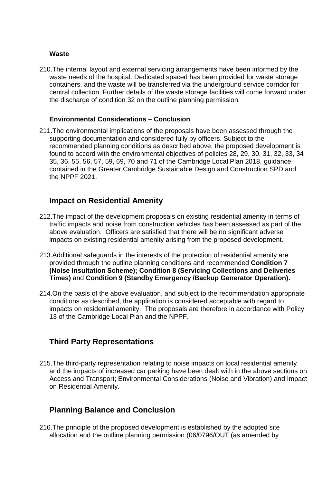#### **Waste**

210.The internal layout and external servicing arrangements have been informed by the waste needs of the hospital. Dedicated spaced has been provided for waste storage containers, and the waste will be transferred via the underground service corridor for central collection. Further details of the waste storage facilities will come forward under the discharge of condition 32 on the outline planning permission.

#### **Environmental Considerations – Conclusion**

211.The environmental implications of the proposals have been assessed through the supporting documentation and considered fully by officers. Subject to the recommended planning conditions as described above, the proposed development is found to accord with the environmental objectives of policies 28, 29, 30, 31, 32, 33, 34 35, 36, 55, 56, 57, 59, 69, 70 and 71 of the Cambridge Local Plan 2018, guidance contained in the Greater Cambridge Sustainable Design and Construction SPD and the NPPF 2021.

# **Impact on Residential Amenity**

- 212.The impact of the development proposals on existing residential amenity in terms of traffic impacts and noise from construction vehicles has been assessed as part of the above evaluation. Officers are satisfied that there will be no significant adverse impacts on existing residential amenity arising from the proposed development.
- 213.Additional safeguards in the interests of the protection of residential amenity are provided through the outline planning conditions and recommended **Condition 7 (Noise Insultation Scheme); Condition 8 (Servicing Collections and Deliveries Times)** and **Condition 9 (Standby Emergency /Backup Generator Operation).**
- 214.On the basis of the above evaluation, and subject to the recommendation appropriate conditions as described, the application is considered acceptable with regard to impacts on residential amenity. The proposals are therefore in accordance with Policy 13 of the Cambridge Local Plan and the NPPF.

# **Third Party Representations**

215.The third-party representation relating to noise impacts on local residential amenity and the impacts of increased car parking have been dealt with in the above sections on Access and Transport; Environmental Considerations (Noise and Vibration) and Impact on Residential Amenity.

# **Planning Balance and Conclusion**

216.The principle of the proposed development is established by the adopted site allocation and the outline planning permission (06/0796/OUT (as amended by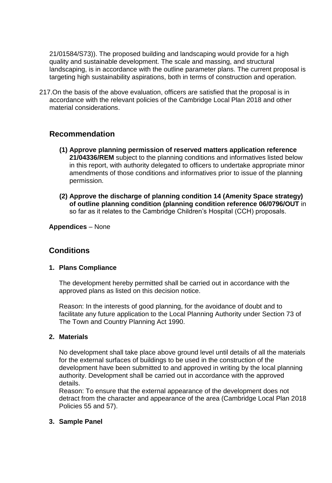21/01584/S73)). The proposed building and landscaping would provide for a high quality and sustainable development. The scale and massing, and structural landscaping, is in accordance with the outline parameter plans. The current proposal is targeting high sustainability aspirations, both in terms of construction and operation.

217.On the basis of the above evaluation, officers are satisfied that the proposal is in accordance with the relevant policies of the Cambridge Local Plan 2018 and other material considerations.

# **Recommendation**

- **(1) Approve planning permission of reserved matters application reference 21/04336/REM** subject to the planning conditions and informatives listed below in this report, with authority delegated to officers to undertake appropriate minor amendments of those conditions and informatives prior to issue of the planning permission.
- **(2) Approve the discharge of planning condition 14 (Amenity Space strategy) of outline planning condition (planning condition reference 06/0796/OUT** in so far as it relates to the Cambridge Children's Hospital (CCH) proposals.

**Appendices** – None

# **Conditions**

# **1. Plans Compliance**

The development hereby permitted shall be carried out in accordance with the approved plans as listed on this decision notice.

Reason: In the interests of good planning, for the avoidance of doubt and to facilitate any future application to the Local Planning Authority under Section 73 of The Town and Country Planning Act 1990.

#### **2. Materials**

No development shall take place above ground level until details of all the materials for the external surfaces of buildings to be used in the construction of the development have been submitted to and approved in writing by the local planning authority. Development shall be carried out in accordance with the approved details.

Reason: To ensure that the external appearance of the development does not detract from the character and appearance of the area (Cambridge Local Plan 2018 Policies 55 and 57).

#### **3. Sample Panel**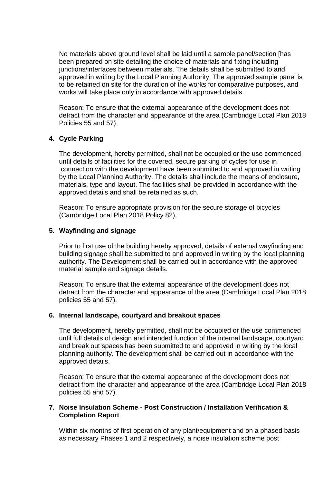No materials above ground level shall be laid until a sample panel/section [has been prepared on site detailing the choice of materials and fixing including junctions/interfaces between materials. The details shall be submitted to and approved in writing by the Local Planning Authority. The approved sample panel is to be retained on site for the duration of the works for comparative purposes, and works will take place only in accordance with approved details.

Reason: To ensure that the external appearance of the development does not detract from the character and appearance of the area (Cambridge Local Plan 2018 Policies 55 and 57).

# **4. Cycle Parking**

The development, hereby permitted, shall not be occupied or the use commenced, until details of facilities for the covered, secure parking of cycles for use in connection with the development have been submitted to and approved in writing by the Local Planning Authority. The details shall include the means of enclosure, materials, type and layout. The facilities shall be provided in accordance with the approved details and shall be retained as such.

Reason: To ensure appropriate provision for the secure storage of bicycles (Cambridge Local Plan 2018 Policy 82).

# **5. Wayfinding and signage**

Prior to first use of the building hereby approved, details of external wayfinding and building signage shall be submitted to and approved in writing by the local planning authority. The Development shall be carried out in accordance with the approved material sample and signage details.

Reason: To ensure that the external appearance of the development does not detract from the character and appearance of the area (Cambridge Local Plan 2018 policies 55 and 57).

# **6. Internal landscape, courtyard and breakout spaces**

The development, hereby permitted, shall not be occupied or the use commenced until full details of design and intended function of the internal landscape, courtyard and break out spaces has been submitted to and approved in writing by the local planning authority. The development shall be carried out in accordance with the approved details.

Reason: To ensure that the external appearance of the development does not detract from the character and appearance of the area (Cambridge Local Plan 2018 policies 55 and 57).

#### **7. Noise Insulation Scheme - Post Construction / Installation Verification & Completion Report**

Within six months of first operation of any plant/equipment and on a phased basis as necessary Phases 1 and 2 respectively, a noise insulation scheme post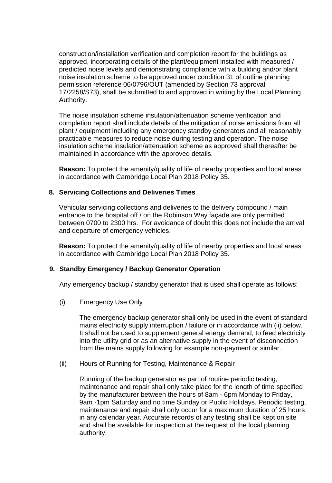construction/installation verification and completion report for the buildings as approved, incorporating details of the plant/equipment installed with measured / predicted noise levels and demonstrating compliance with a building and/or plant noise insulation scheme to be approved under condition 31 of outline planning permission reference 06/0796/OUT (amended by Section 73 approval 17/2258/S73), shall be submitted to and approved in writing by the Local Planning Authority.

The noise insulation scheme insulation/attenuation scheme verification and completion report shall include details of the mitigation of noise emissions from all plant / equipment including any emergency standby generators and all reasonably practicable measures to reduce noise during testing and operation. The noise insulation scheme insulation/attenuation scheme as approved shall thereafter be maintained in accordance with the approved details.

**Reason:** To protect the amenity/quality of life of nearby properties and local areas in accordance with Cambridge Local Plan 2018 Policy 35.

#### **8. Servicing Collections and Deliveries Times**

Vehicular servicing collections and deliveries to the delivery compound / main entrance to the hospital off / on the Robinson Way façade are only permitted between 0700 to 2300 hrs. For avoidance of doubt this does not include the arrival and departure of emergency vehicles.

**Reason:** To protect the amenity/quality of life of nearby properties and local areas in accordance with Cambridge Local Plan 2018 Policy 35.

# **9. Standby Emergency / Backup Generator Operation**

Any emergency backup / standby generator that is used shall operate as follows:

(i) Emergency Use Only

The emergency backup generator shall only be used in the event of standard mains electricity supply interruption / failure or in accordance with (ii) below. It shall not be used to supplement general energy demand, to feed electricity into the utility grid or as an alternative supply in the event of disconnection from the mains supply following for example non-payment or similar.

(ii) Hours of Running for Testing, Maintenance & Repair

Running of the backup generator as part of routine periodic testing, maintenance and repair shall only take place for the length of time specified by the manufacturer between the hours of 8am - 6pm Monday to Friday, 9am -1pm Saturday and no time Sunday or Public Holidays. Periodic testing, maintenance and repair shall only occur for a maximum duration of 25 hours in any calendar year. Accurate records of any testing shall be kept on site and shall be available for inspection at the request of the local planning authority.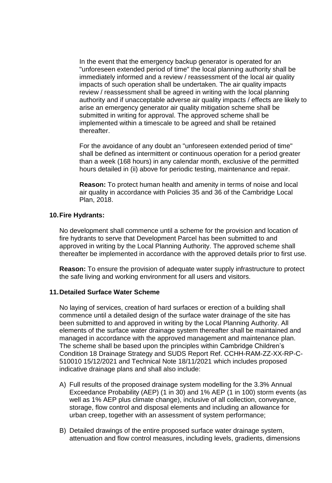In the event that the emergency backup generator is operated for an "unforeseen extended period of time" the local planning authority shall be immediately informed and a review / reassessment of the local air quality impacts of such operation shall be undertaken. The air quality impacts review / reassessment shall be agreed in writing with the local planning authority and if unacceptable adverse air quality impacts / effects are likely to arise an emergency generator air quality mitigation scheme shall be submitted in writing for approval. The approved scheme shall be implemented within a timescale to be agreed and shall be retained thereafter.

For the avoidance of any doubt an "unforeseen extended period of time" shall be defined as intermittent or continuous operation for a period greater than a week (168 hours) in any calendar month, exclusive of the permitted hours detailed in (ii) above for periodic testing, maintenance and repair.

**Reason:** To protect human health and amenity in terms of noise and local air quality in accordance with Policies 35 and 36 of the Cambridge Local Plan, 2018.

#### **10.Fire Hydrants:**

No development shall commence until a scheme for the provision and location of fire hydrants to serve that Development Parcel has been submitted to and approved in writing by the Local Planning Authority. The approved scheme shall thereafter be implemented in accordance with the approved details prior to first use.

**Reason:** To ensure the provision of adequate water supply infrastructure to protect the safe living and working environment for all users and visitors.

#### **11.Detailed Surface Water Scheme**

No laying of services, creation of hard surfaces or erection of a building shall commence until a detailed design of the surface water drainage of the site has been submitted to and approved in writing by the Local Planning Authority. All elements of the surface water drainage system thereafter shall be maintained and managed in accordance with the approved management and maintenance plan. The scheme shall be based upon the principles within Cambridge Children's Condition 18 Drainage Strategy and SUDS Report Ref. CCHH-RAM-ZZ-XX-RP-C-510010 15/12/2021 and Technical Note 18/11/2021 which includes proposed indicative drainage plans and shall also include:

- A) Full results of the proposed drainage system modelling for the 3.3% Annual Exceedance Probability (AEP) (1 in 30) and 1% AEP (1 in 100) storm events (as well as 1% AEP plus climate change), inclusive of all collection, conveyance, storage, flow control and disposal elements and including an allowance for urban creep, together with an assessment of system performance;
- B) Detailed drawings of the entire proposed surface water drainage system, attenuation and flow control measures, including levels, gradients, dimensions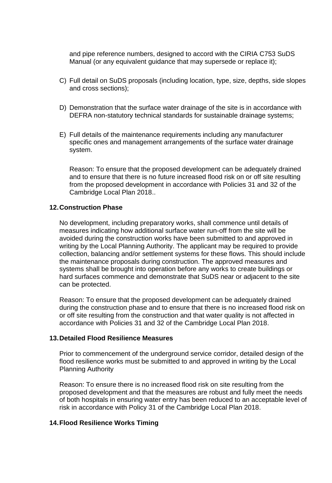and pipe reference numbers, designed to accord with the CIRIA C753 SuDS Manual (or any equivalent guidance that may supersede or replace it);

- C) Full detail on SuDS proposals (including location, type, size, depths, side slopes and cross sections);
- D) Demonstration that the surface water drainage of the site is in accordance with DEFRA non-statutory technical standards for sustainable drainage systems;
- E) Full details of the maintenance requirements including any manufacturer specific ones and management arrangements of the surface water drainage system.

Reason: To ensure that the proposed development can be adequately drained and to ensure that there is no future increased flood risk on or off site resulting from the proposed development in accordance with Policies 31 and 32 of the Cambridge Local Plan 2018..

#### **12.Construction Phase**

No development, including preparatory works, shall commence until details of measures indicating how additional surface water run-off from the site will be avoided during the construction works have been submitted to and approved in writing by the Local Planning Authority. The applicant may be required to provide collection, balancing and/or settlement systems for these flows. This should include the maintenance proposals during construction. The approved measures and systems shall be brought into operation before any works to create buildings or hard surfaces commence and demonstrate that SuDS near or adjacent to the site can be protected.

Reason: To ensure that the proposed development can be adequately drained during the construction phase and to ensure that there is no increased flood risk on or off site resulting from the construction and that water quality is not affected in accordance with Policies 31 and 32 of the Cambridge Local Plan 2018.

#### **13.Detailed Flood Resilience Measures**

Prior to commencement of the underground service corridor, detailed design of the flood resilience works must be submitted to and approved in writing by the Local Planning Authority

Reason: To ensure there is no increased flood risk on site resulting from the proposed development and that the measures are robust and fully meet the needs of both hospitals in ensuring water entry has been reduced to an acceptable level of risk in accordance with Policy 31 of the Cambridge Local Plan 2018.

#### **14.Flood Resilience Works Timing**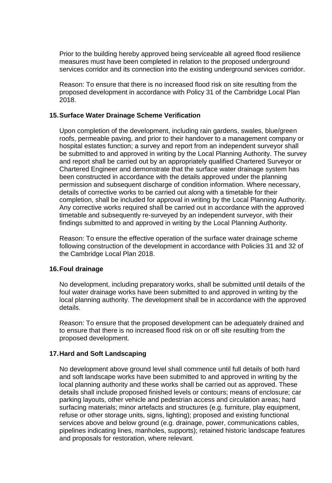Prior to the building hereby approved being serviceable all agreed flood resilience measures must have been completed in relation to the proposed underground services corridor and its connection into the existing underground services corridor.

Reason: To ensure that there is no increased flood risk on site resulting from the proposed development in accordance with Policy 31 of the Cambridge Local Plan 2018.

#### **15.Surface Water Drainage Scheme Verification**

Upon completion of the development, including rain gardens, swales, blue/green roofs, permeable paving, and prior to their handover to a management company or hospital estates function; a survey and report from an independent surveyor shall be submitted to and approved in writing by the Local Planning Authority. The survey and report shall be carried out by an appropriately qualified Chartered Surveyor or Chartered Engineer and demonstrate that the surface water drainage system has been constructed in accordance with the details approved under the planning permission and subsequent discharge of condition information. Where necessary, details of corrective works to be carried out along with a timetable for their completion, shall be included for approval in writing by the Local Planning Authority. Any corrective works required shall be carried out in accordance with the approved timetable and subsequently re-surveyed by an independent surveyor, with their findings submitted to and approved in writing by the Local Planning Authority.

Reason: To ensure the effective operation of the surface water drainage scheme following construction of the development in accordance with Policies 31 and 32 of the Cambridge Local Plan 2018.

#### **16.Foul drainage**

No development, including preparatory works, shall be submitted until details of the foul water drainage works have been submitted to and approved in writing by the local planning authority. The development shall be in accordance with the approved details.

Reason: To ensure that the proposed development can be adequately drained and to ensure that there is no increased flood risk on or off site resulting from the proposed development.

# **17.Hard and Soft Landscaping**

No development above ground level shall commence until full details of both hard and soft landscape works have been submitted to and approved in writing by the local planning authority and these works shall be carried out as approved. These details shall include proposed finished levels or contours; means of enclosure; car parking layouts, other vehicle and pedestrian access and circulation areas; hard surfacing materials; minor artefacts and structures (e.g. furniture, play equipment, refuse or other storage units, signs, lighting); proposed and existing functional services above and below ground (e.g. drainage, power, communications cables, pipelines indicating lines, manholes, supports); retained historic landscape features and proposals for restoration, where relevant.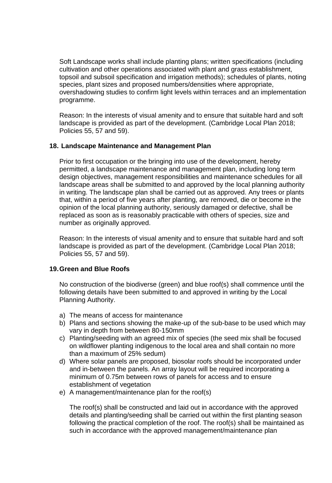Soft Landscape works shall include planting plans; written specifications (including cultivation and other operations associated with plant and grass establishment, topsoil and subsoil specification and irrigation methods); schedules of plants, noting species, plant sizes and proposed numbers/densities where appropriate, overshadowing studies to confirm light levels within terraces and an implementation programme.

Reason: In the interests of visual amenity and to ensure that suitable hard and soft landscape is provided as part of the development. (Cambridge Local Plan 2018; Policies 55, 57 and 59).

#### **18. Landscape Maintenance and Management Plan**

Prior to first occupation or the bringing into use of the development, hereby permitted, a landscape maintenance and management plan, including long term design objectives, management responsibilities and maintenance schedules for all landscape areas shall be submitted to and approved by the local planning authority in writing. The landscape plan shall be carried out as approved. Any trees or plants that, within a period of five years after planting, are removed, die or become in the opinion of the local planning authority, seriously damaged or defective, shall be replaced as soon as is reasonably practicable with others of species, size and number as originally approved.

Reason: In the interests of visual amenity and to ensure that suitable hard and soft landscape is provided as part of the development. (Cambridge Local Plan 2018; Policies 55, 57 and 59).

# **19.Green and Blue Roofs**

No construction of the biodiverse (green) and blue roof(s) shall commence until the following details have been submitted to and approved in writing by the Local Planning Authority.

- a) The means of access for maintenance
- b) Plans and sections showing the make-up of the sub-base to be used which may vary in depth from between 80-150mm
- c) Planting/seeding with an agreed mix of species (the seed mix shall be focused on wildflower planting indigenous to the local area and shall contain no more than a maximum of 25% sedum)
- d) Where solar panels are proposed, biosolar roofs should be incorporated under and in-between the panels. An array layout will be required incorporating a minimum of 0.75m between rows of panels for access and to ensure establishment of vegetation
- e) A management/maintenance plan for the roof(s)

The roof(s) shall be constructed and laid out in accordance with the approved details and planting/seeding shall be carried out within the first planting season following the practical completion of the roof. The roof(s) shall be maintained as such in accordance with the approved management/maintenance plan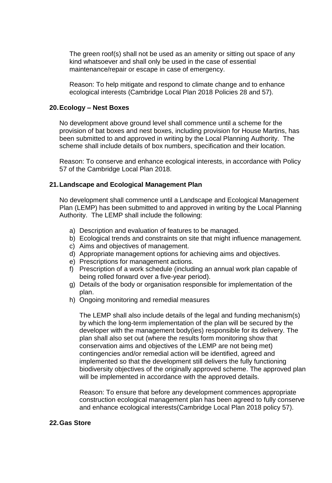The green roof(s) shall not be used as an amenity or sitting out space of any kind whatsoever and shall only be used in the case of essential maintenance/repair or escape in case of emergency.

Reason: To help mitigate and respond to climate change and to enhance ecological interests (Cambridge Local Plan 2018 Policies 28 and 57).

#### **20.Ecology – Nest Boxes**

No development above ground level shall commence until a scheme for the provision of bat boxes and nest boxes, including provision for House Martins, has been submitted to and approved in writing by the Local Planning Authority. The scheme shall include details of box numbers, specification and their location.

Reason: To conserve and enhance ecological interests, in accordance with Policy 57 of the Cambridge Local Plan 2018.

#### **21.Landscape and Ecological Management Plan**

No development shall commence until a Landscape and Ecological Management Plan (LEMP) has been submitted to and approved in writing by the Local Planning Authority. The LEMP shall include the following:

- a) Description and evaluation of features to be managed.
- b) Ecological trends and constraints on site that might influence management.
- c) Aims and objectives of management.
- d) Appropriate management options for achieving aims and objectives.
- e) Prescriptions for management actions.
- f) Prescription of a work schedule (including an annual work plan capable of being rolled forward over a five-year period).
- g) Details of the body or organisation responsible for implementation of the plan.
- h) Ongoing monitoring and remedial measures

The LEMP shall also include details of the legal and funding mechanism(s) by which the long-term implementation of the plan will be secured by the developer with the management body(ies) responsible for its delivery. The plan shall also set out (where the results form monitoring show that conservation aims and objectives of the LEMP are not being met) contingencies and/or remedial action will be identified, agreed and implemented so that the development still delivers the fully functioning biodiversity objectives of the originally approved scheme. The approved plan will be implemented in accordance with the approved details.

Reason: To ensure that before any development commences appropriate construction ecological management plan has been agreed to fully conserve and enhance ecological interests(Cambridge Local Plan 2018 policy 57).

#### **22.Gas Store**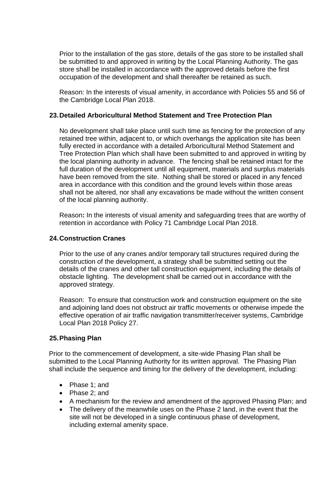Prior to the installation of the gas store, details of the gas store to be installed shall be submitted to and approved in writing by the Local Planning Authority. The gas store shall be installed in accordance with the approved details before the first occupation of the development and shall thereafter be retained as such.

Reason: In the interests of visual amenity, in accordance with Policies 55 and 56 of the Cambridge Local Plan 2018.

### **23.Detailed Arboricultural Method Statement and Tree Protection Plan**

No development shall take place until such time as fencing for the protection of any retained tree within, adjacent to, or which overhangs the application site has been fully erected in accordance with a detailed Arboricultural Method Statement and Tree Protection Plan which shall have been submitted to and approved in writing by the local planning authority in advance. The fencing shall be retained intact for the full duration of the development until all equipment, materials and surplus materials have been removed from the site. Nothing shall be stored or placed in any fenced area in accordance with this condition and the ground levels within those areas shall not be altered, nor shall any excavations be made without the written consent of the local planning authority.

Reason**:** In the interests of visual amenity and safeguarding trees that are worthy of retention in accordance with Policy 71 Cambridge Local Plan 2018.

### **24.Construction Cranes**

Prior to the use of any cranes and/or temporary tall structures required during the construction of the development, a strategy shall be submitted setting out the details of the cranes and other tall construction equipment, including the details of obstacle lighting. The development shall be carried out in accordance with the approved strategy.

Reason: To ensure that construction work and construction equipment on the site and adjoining land does not obstruct air traffic movements or otherwise impede the effective operation of air traffic navigation transmitter/receiver systems, Cambridge Local Plan 2018 Policy 27.

# **25.Phasing Plan**

Prior to the commencement of development, a site-wide Phasing Plan shall be submitted to the Local Planning Authority for its written approval. The Phasing Plan shall include the sequence and timing for the delivery of the development, including:

- Phase 1; and
- Phase 2: and
- A mechanism for the review and amendment of the approved Phasing Plan; and
- The delivery of the meanwhile uses on the Phase 2 land, in the event that the site will not be developed in a single continuous phase of development, including external amenity space.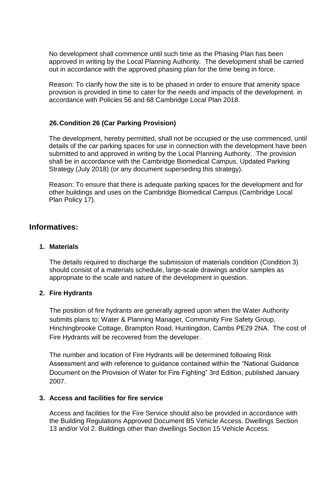No development shall commence until such time as the Phasing Plan has been approved in writing by the Local Planning Authority. The development shall be carried out in accordance with the approved phasing plan for the time being in force.

Reason: To clarify how the site is to be phased in order to ensure that amenity space provision is provided in time to cater for the needs and impacts of the development. in accordance with Policies 56 and 68 Cambridge Local Plan 2018.

# **26.Condition 26 (Car Parking Provision)**

The development, hereby permitted, shall not be occupied or the use commenced, until details of the car parking spaces for use in connection with the development have been submitted to and approved in writing by the Local Planning Authority. The provision shall be in accordance with the Cambridge Biomedical Campus, Updated Parking Strategy (July 2018) (or any document superseding this strategy).

Reason: To ensure that there is adequate parking spaces for the development and for other buildings and uses on the Cambridge Biomedical Campus (Cambridge Local Plan Policy 17).

# **Informatives:**

#### **1. Materials**

The details required to discharge the submission of materials condition (Condition 3) should consist of a materials schedule, large-scale drawings and/or samples as appropriate to the scale and nature of the development in question.

#### **2. Fire Hydrants**

The position of fire hydrants are generally agreed upon when the Water Authority submits plans to: Water & Planning Manager, Community Fire Safety Group, Hinchingbrooke Cottage, Brampton Road, Huntingdon, Cambs PE29 2NA. The cost of Fire Hydrants will be recovered from the developer.

The number and location of Fire Hydrants will be determined following Risk Assessment and with reference to guidance contained within the "National Guidance Document on the Provision of Water for Fire Fighting" 3rd Edition, published January 2007.

#### **3. Access and facilities for fire service**

Access and facilities for the Fire Service should also be provided in accordance with the Building Regulations Approved Document B5 Vehicle Access. Dwellings Section 13 and/or Vol 2. Buildings other than dwellings Section 15 Vehicle Access.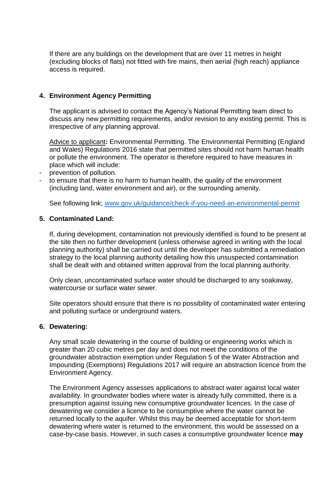If there are any buildings on the development that are over 11 metres in height (excluding blocks of flats) not fitted with fire mains, then aerial (high reach) appliance access is required.

### **4. Environment Agency Permitting**

The applicant is advised to contact the Agency's National Permitting team direct to discuss any new permitting requirements, and/or revision to any existing permit. This is irrespective of any planning approval.

Advice to applicant**:** Environmental Permitting. The Environmental Permitting (England and Wales) Regulations 2016 state that permitted sites should not harm human health or pollute the environment. The operator is therefore required to have measures in place which will include:

- prevention of pollution.
- to ensure that there is no harm to human health, the quality of the environment (including land, water environment and air), or the surrounding amenity.

See following link; [www.gov.uk/guidance/check-if-you-need-an-environmental-permit](http://www.gov.uk/guidance/check-if-you-need-an-environmental-permit)

#### **5. Contaminated Land:**

If, during development, contamination not previously identified is found to be present at the site then no further development (unless otherwise agreed in writing with the local planning authority) shall be carried out until the developer has submitted a remediation strategy to the local planning authority detailing how this unsuspected contamination shall be dealt with and obtained written approval from the local planning authority.

Only clean, uncontaminated surface water should be discharged to any soakaway, watercourse or surface water sewer.

Site operators should ensure that there is no possibility of contaminated water entering and polluting surface or underground waters.

#### **6. Dewatering:**

Any small scale dewatering in the course of building or engineering works which is greater than 20 cubic metres per day and does not meet the conditions of the groundwater abstraction exemption under Regulation 5 of the Water Abstraction and Impounding (Exemptions) Regulations 2017 will require an abstraction licence from the Environment Agency.

The Environment Agency assesses applications to abstract water against local water availability. In groundwater bodies where water is already fully committed, there is a presumption against issuing new consumptive groundwater licences. In the case of dewatering we consider a licence to be consumptive where the water cannot be returned locally to the aquifer. Whilst this may be deemed acceptable for short-term dewatering where water is returned to the environment, this would be assessed on a case-by-case basis. However, in such cases a consumptive groundwater licence **may**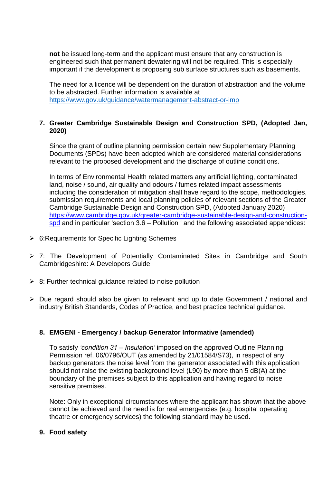**not** be issued long-term and the applicant must ensure that any construction is engineered such that permanent dewatering will not be required. This is especially important if the development is proposing sub surface structures such as basements.

The need for a licence will be dependent on the duration of abstraction and the volume to be abstracted. Further information is available at <https://www.gov.uk/guidance/watermanagement-abstract-or-imp>

#### **7. Greater Cambridge Sustainable Design and Construction SPD, (Adopted Jan, 2020)**

Since the grant of outline planning permission certain new Supplementary Planning Documents (SPDs) have been adopted which are considered material considerations relevant to the proposed development and the discharge of outline conditions.

In terms of Environmental Health related matters any artificial lighting, contaminated land, noise / sound, air quality and odours / fumes related impact assessments including the consideration of mitigation shall have regard to the scope, methodologies, submission requirements and local planning policies of relevant sections of the Greater Cambridge Sustainable Design and Construction SPD, (Adopted January 2020) [https://www.cambridge.gov.uk/greater-cambridge-sustainable-design-and-construction](https://www.cambridge.gov.uk/greater-cambridge-sustainable-design-and-construction-spd)[spd](https://www.cambridge.gov.uk/greater-cambridge-sustainable-design-and-construction-spd) and in particular 'section 3.6 – Pollution ' and the following associated appendices:

- $\triangleright$  6: Requirements for Specific Lighting Schemes
- 7: The Development of Potentially Contaminated Sites in Cambridge and South Cambridgeshire: A Developers Guide
- $\geq$  8: Further technical guidance related to noise pollution
- $\triangleright$  Due regard should also be given to relevant and up to date Government / national and industry British Standards, Codes of Practice, and best practice technical guidance.

# **8. EMGENI - Emergency / backup Generator Informative (amended)**

To satisfy *'condition 31 – Insulation'* imposed on the approved Outline Planning Permission ref. 06/0796/OUT (as amended by 21/01584/S73), in respect of any backup generators the noise level from the generator associated with this application should not raise the existing background level (L90) by more than 5 dB(A) at the boundary of the premises subject to this application and having regard to noise sensitive premises.

Note: Only in exceptional circumstances where the applicant has shown that the above cannot be achieved and the need is for real emergencies (e.g. hospital operating theatre or emergency services) the following standard may be used.

#### **9. Food safety**